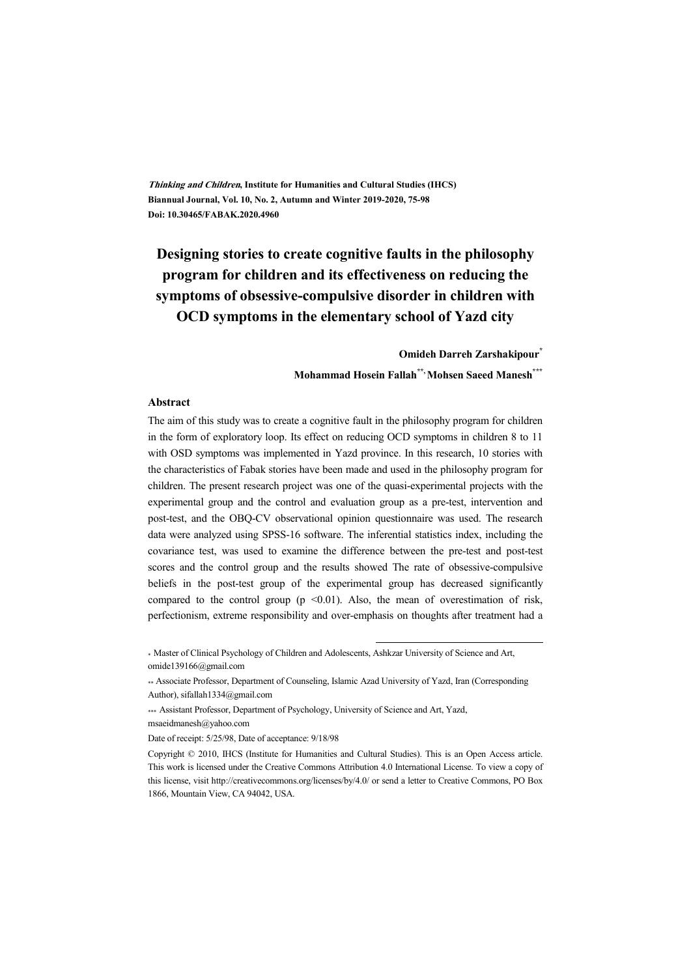**Thinking and Children, Institute for Humanities and Cultural Studies (IHCS) Biannual Journal, Vol. 10, No. 2, Autumn and Winter 2019-2020, 75-98 Doi: 10.30465/FABAK.2020.4960** 

# **Designing stories to create cognitive faults in the philosophy program for children and its effectiveness on reducing the symptoms of obsessive-compulsive disorder in children with OCD symptoms in the elementary school of Yazd city**

**Omideh Darreh Zarshakipour\***

**Mohammad Hosein Fallah\*\*, Mohsen Saeed Manesh\*\*\***

#### **Abstract**

The aim of this study was to create a cognitive fault in the philosophy program for children in the form of exploratory loop. Its effect on reducing OCD symptoms in children 8 to 11 with OSD symptoms was implemented in Yazd province. In this research, 10 stories with the characteristics of Fabak stories have been made and used in the philosophy program for children. The present research project was one of the quasi-experimental projects with the experimental group and the control and evaluation group as a pre-test, intervention and post-test, and the OBQ-CV observational opinion questionnaire was used. The research data were analyzed using SPSS-16 software. The inferential statistics index, including the covariance test, was used to examine the difference between the pre-test and post-test scores and the control group and the results showed The rate of obsessive-compulsive beliefs in the post-test group of the experimental group has decreased significantly compared to the control group ( $p \le 0.01$ ). Also, the mean of overestimation of risk, perfectionism, extreme responsibility and over-emphasis on thoughts after treatment had a

\* Master of Clinical Psychology of Children and Adolescents, Ashkzar University of Science and Art, omide139166@gmail.com

\*\* Associate Professor, Department of Counseling, Islamic Azad University of Yazd, Iran (Corresponding Author), sifallah1334@gmail.com

:

\*\*\* Assistant Professor, Department of Psychology, University of Science and Art, Yazd, msaeidmanesh@yahoo.com

Date of receipt: 5/25/98, Date of acceptance: 9/18/98

Copyright © 2010, IHCS (Institute for Humanities and Cultural Studies). This is an Open Access article. This work is licensed under the Creative Commons Attribution 4.0 International License. To view a copy of this license, visit http://creativecommons.org/licenses/by/4.0/ or send a letter to Creative Commons, PO Box 1866, Mountain View, CA 94042, USA.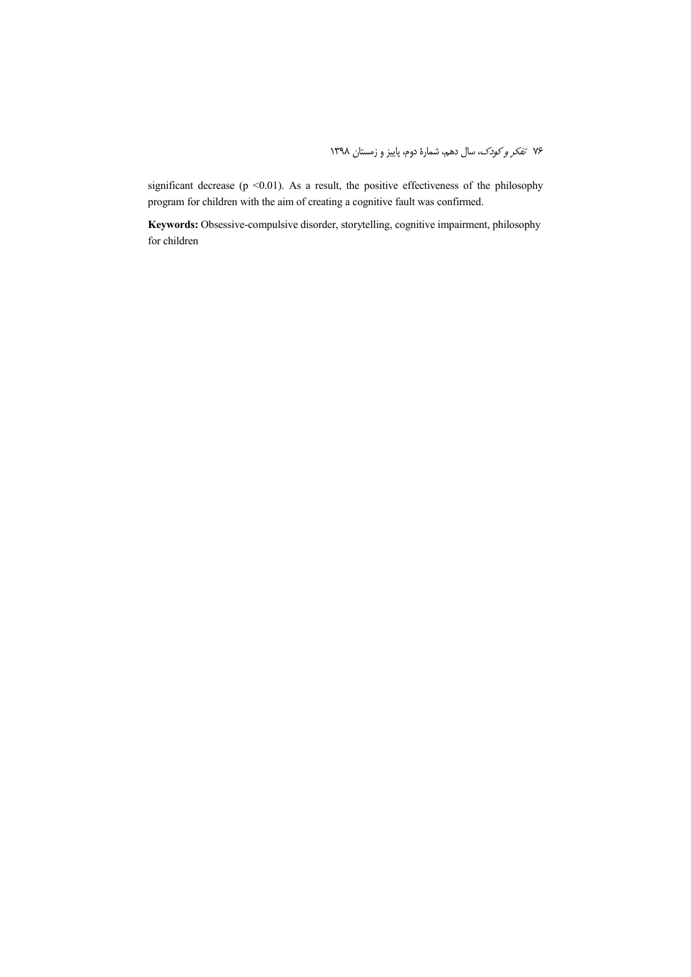significant decrease (p <0.01). As a result, the positive effectiveness of the philosophy program for children with the aim of creating a cognitive fault was confirmed.

**Keywords:** Obsessive-compulsive disorder, storytelling, cognitive impairment, philosophy for children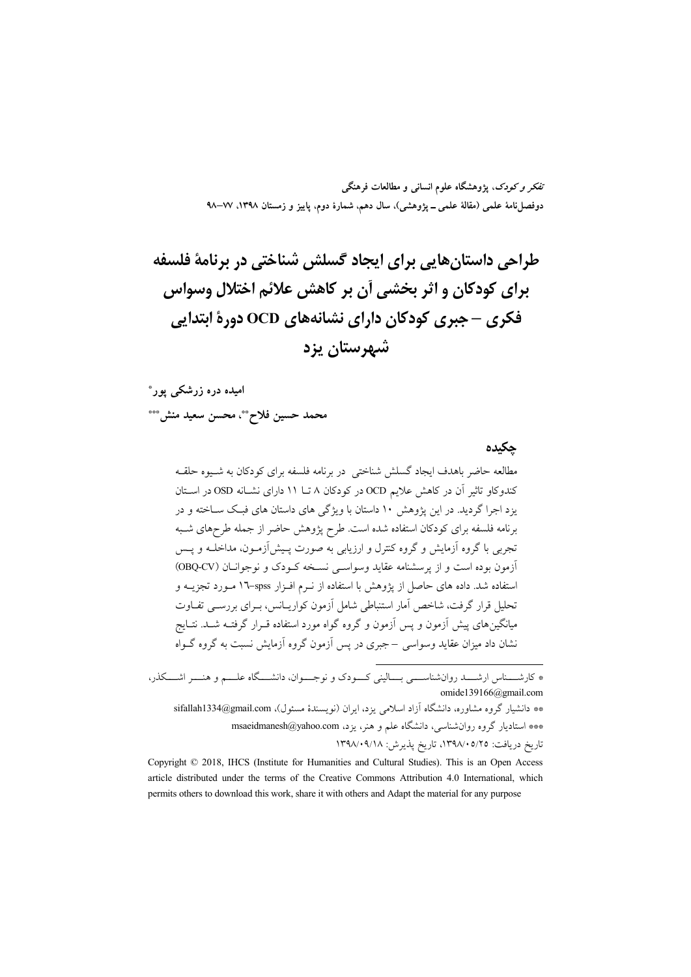تفکر و کودک، یژوهشگاه علوم انسانی و مطالعات فرهنگی دوفصلiاههٔ علمی (مقالهٔ علمی ــ پژوهشی)، سال دهم، شمارهٔ دوم، پاییز و زمستان ۱۳۹۸، ۷۷–۹۸

طراحی داستانهایی برای ایجاد گسلش شناختی در برنامهٔ فلسفه برای کودکان و اثر بخشی آن بر کاهش علائم اختلال وسواس فکری – جبری کودکان دارای نشانههای OCD دورهٔ ابتدایی شهرستان یزد

امیده دره زرشکے پور\*

محمد حسين فلاح\*\*، محسن سعيد منش\*\*\*

جكيده

مطالعه حاضر باهدف ایجاد گسلش شناختی در برنامه فلسفه برای کودکان به شبوه حلقبه کندوکاو تاثیر آن در کاهش علایم OCD در کودکان ۸ تــا ۱۱ دارای نشــانه OSD در اسـتان یزد اجرا گردید. در این پژوهش ۱۰ داستان با ویژگی های داستان های فبک سـاخته و در برنامه فلسفه برای کودکان استفاده شده است. طرح پژوهش حاضر از جمله طرحهای شـبه تجربی با گروه آزمایش و گروه کنترل و ارزیابی به صورت پـیش[زمـون، مداخلــه و پــس أزمون بوده است و از پرسشنامه عقاید وسواسی نسخه کـودک و نوجوانـان (OBQ-CV) استفاده شد. داده های حاصل از پژوهش با استفاده از نـرم افـزار spss-۱۷ مـورد تجزیــه و تحلیل قرار گرفت، شاخص آمار استنباطی شامل آزمون کواریـانس، بـرای بررسـی تفـاوت میانگینهای پیش آزمون و پس آزمون و گروه گواه مورد استفاده قـرار گرفتـه شــد. نتــایج نشان داد میزان عقاید وسواسی –جبری در پس آزمون گروه آزمایش نسبت به گروه گــواه

\* کارشــــناس ارشــــد روانشناســــي بــــاليني کـــودک و نوجــــوان، دانشــــگاه علــــم و هنــــر اشــــکذر، omide139166@gmail.com

\*\* دانشیار گروه مشاوره، دانشگاه آزاد اسلامی یزد، ایران (نویسندهٔ مسئول)، sifallah1334@gmail.com \*\*\* استادیار گروه روان شناسی، دانشگاه علم و هنر، یزد، msaeidmanesh@yahoo.com تاريخ دريافت: ١٣٩٨/٠٥/٢٥، تاريخ يذيرش: ١٣٩٨/٠٩/١٨

Copyright © 2018, IHCS (Institute for Humanities and Cultural Studies). This is an Open Access article distributed under the terms of the Creative Commons Attribution 4.0 International, which permits others to download this work, share it with others and Adapt the material for any purpose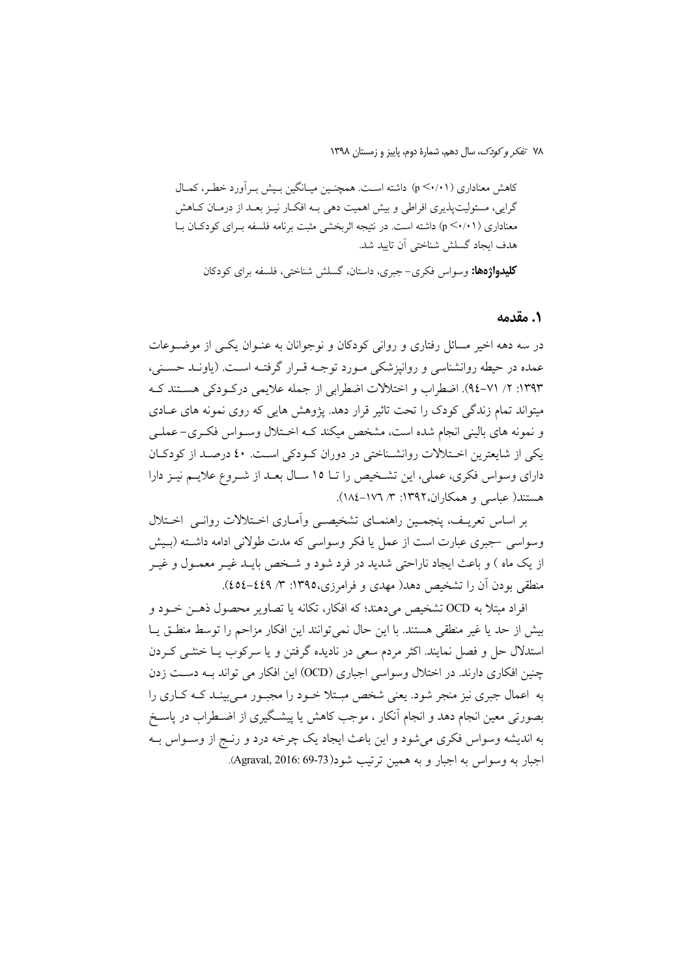کاهش معناداری (p <۰/۱۱) داشته است. همچنـین میـانگین بـیش بـر آورد خطـر، کمـال گرایی، مسئولیتپذیری افراطی و بیش اهمیت دهی بـه افکـار نیـز بعـد از درمـان کـاهش معناداری (p <٠/٠١) داشته است. در نتیجه اثربخشی مثبت برنامه فلسفه بـرای کودکـان بـا هدف ايجاد گسلش شناختي آن تاييد شد. **کلیدواژهها:** وسواس فکری–جبری، داستان، گسلش شناختی، فلسفه برای کودکان

1. مقدمه

در سه دهه اخیر مسائل رفتاری و روانی کودکان و نوجوانان به عنـوان یکـی از موضـوعات عمده در حیطه روانشناسی و روانیزشکی مـورد توجـه قـرار گرفتـه اسـت. (یاونـد حسـنی، ۱۳۹۳: ۲/ ۷۱-۹٤). اضطراب و اختلالات اضطرابي از جمله علايمي دركـودكي هسـتند كـه میتواند تمام زندگی کودک را تحت تاثیر قرار دهد. یژوهش هایی که روی نمونه های عـادی و نمونه های بالینی انجام شده است، مشخص میکند کـه اخـتلال وسـواس فکـری-عملـی یکی از شایعترین اختلالات روانشـناختی در دوران کـودکی اسـت. ٤٠ درصـد از کودکـان دارای وسواس فکری، عملی، این تشخیص را تـا ١٥ سـال بعـد از شـروع علایـم نیـز دارا هستند( عباسی و همکاران،۱۳۹۲: ۳/ ۱۷۲–۱۸٤).

بر اساس تعریـف، پنجمـین راهنمـای تشخیصـی وأمـاری اخـتلالات روانـی اخـتلال وسواسی –جبری عبارت است از عمل یا فکر وسواسی که مدت طولانی ادامه داشته (بـیش از یک ماه ) و باعث ایجاد ناراحتی شدید در فرد شود و شـخص بایـد غیــر معمــول و غیــر منطقی بودن اَن را تشخیص دهد( مهدی و فرامرزی،۱۳۹۵: ۳/ ٤٥٤–٤٥٤).

افراد مبتلا به OCD تشخيص مي دهند؛ كه افكار، تكانه يا تصاوير محصول ذهـن خـود و بيش از حد يا غير منطقى هستند. با اين حال نمى توانند اين افكار مزاحم را توسط منطــق يــا استدلال حل و فصل نمایند. اکثر مردم سعی در نادیده گرفتن و یا سرکوب یـا خنثــی کــردن چنین افکاری دارند. در اختلال وسواسی اجباری (OCD) این افکار می تواند بـه دسـت زدن به اعمال جبری نیز منجر شود. یعنی شخص مبـتلا خـود را مجبـور مـی بینـد کـه کـاری را بصورتی معین انجام دهد و انجام آنکار ، موجب کاهش یا پیشگیری از اضـطراب در یاسـخ به اندیشه وسواس فکری میشود و این باعث ایجاد یک چرخه درد و رنــج از وســواس بــه اجبار به وسواس به اجبار و به همين ترتيب شود(73-69 Agraval, 2016: 69).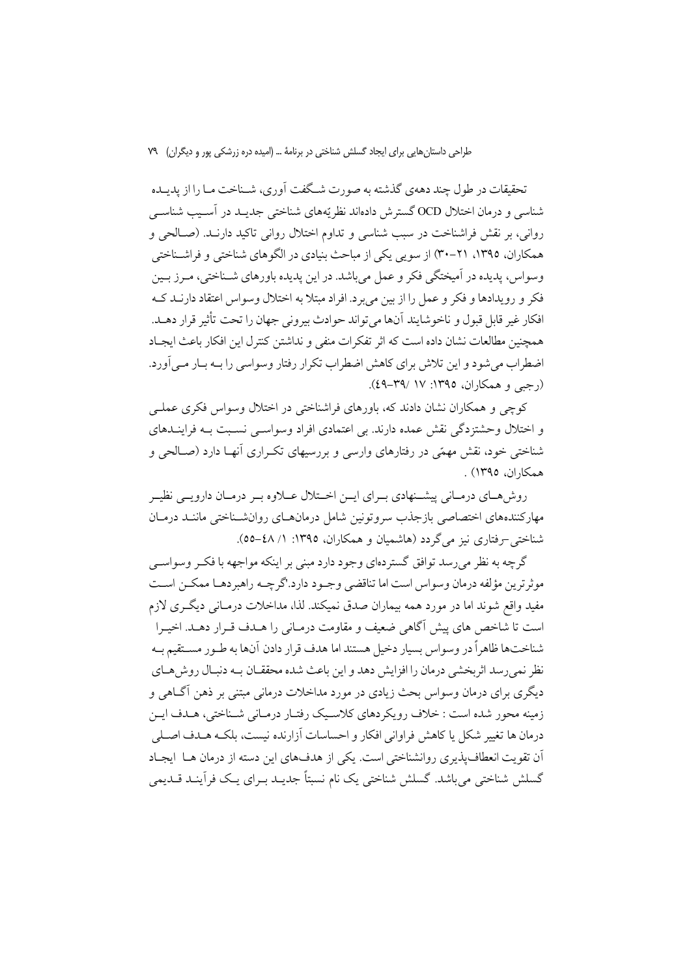تحقیقات در طول چند دههی گذشته به صورت شـگفت آوری، شـناخت مـا را از پدیـده شناسی و درمان اختلال OCD گسترش دادهاند نظریّههای شناختی جدیـد در آسـیب شناسـی رواني، بر نقش فراشناخت در سبب شناسي و تداوم اختلال رواني تاكيد دارنـد. (صـالحي و همکاران، ۱۳۹۵، ۲۱-۳۰) از سویی یکی از مباحث بنیادی در الگوهای شناختی و فراشـناختی وسواس، پدیده در آمیختگی فکر و عمل می باشد. در این پدیده باورهای شـناختی، مـرز بـین فکر و رویدادها و فکر و عمل را از بین می برد. افراد مبتلا به اختلال وسواس اعتقاد دارنــد کــه افكار غير قابل قبول و ناخوشايند آنها مي تواند حوادث بيروني جهان را تحت تأثير قرار دهـد. همچنین مطالعات نشان داده است که اثر تفکرات منفی و نداشتن کنترل این افکار باعث ایجـاد اضطراب می شود و این تلاش برای کاهش اضطراب تکرار رفتار وسواسی را بـه بـار مـی اَورد.  $(29 - Y9)$  /(رجبی و همکاران، ۱۳۹۵: ۱۷/ ۴۹–٤۹).

کوچی و همکاران نشان دادند که، باورهای فراشناختی در اختلال وسواس فکری عملـی و اختلال وحشتزدگی نقش عمده دارند. بی اعتمادی افراد وسواسبی نسبت بـه فراینــدهای شناختی خود، نقش مهمّی در رفتارهای وارسی و بررسیهای تکـراری آنهـا دارد (صـالحی و همكاران، ١٣٩٥) .

روش هـاي درمـاني پيشـنهادي بـراي ايـن اخـتلال عــلاوه بـر درمـان دارويــي نظيـر مهاركنندههاى اختصاصي بازجذب سروتونين شامل درمانهاى روانشسناختى مانند درمان شناختی -رفتاری نیز می گردد (هاشمیان و همکاران، ۱۳۹۵: ۱/ ٤٨-٥٥).

گرچه به نظر می رسد توافق گستردهای وجود دارد مبنی بر اینکه مواجهه با فک وسواسبی موثرترين مؤلفه درمان وسواس است اما تناقضي وجـود دارد.'گرچــه راهبردهــا ممكــن اســت مفید واقع شوند اما در مورد همه بیماران صدق نمیکند. لذا، مداخلات درمـانی دیگـری لازم است تا شاخص های پیش آگاهی ضعیف و مقاومت درمـانی را هــدف قــرار دهــد. اخیــرا شناختها ظاهراً در وسواس بسيار دخيل هستند اما هدف قرار دادن آنها به طـور مســتقيم بــه نظر نمی رسد اثر بخشی درمان را افزایش دهد و این باعث شده محققــان بــه دنبــال روش هــای دیگری برای درمان وسواس بحث زیادی در مورد مداخلات درمانی مبتنی بر ذهن آگــاهی و زمینه محور شده است : خلاف رویکردهای کلاسیک رفتار درمـانی شـناختی، هـدف ایـن درمان ها تغییر شکل یا کاهش فراوانی افکار و احساسات آزارنده نیست، بلکـه هــدف اصــلی آن تقویت انعطاف پذیری روانشناختی است. یکی از هدفهای این دسته از درمان هــا ایجــاد گسلش شناختی میباشد. گسلش شناختی یک نام نسبتاً جدیـد بـرای یـک فرأینـد قــدیمی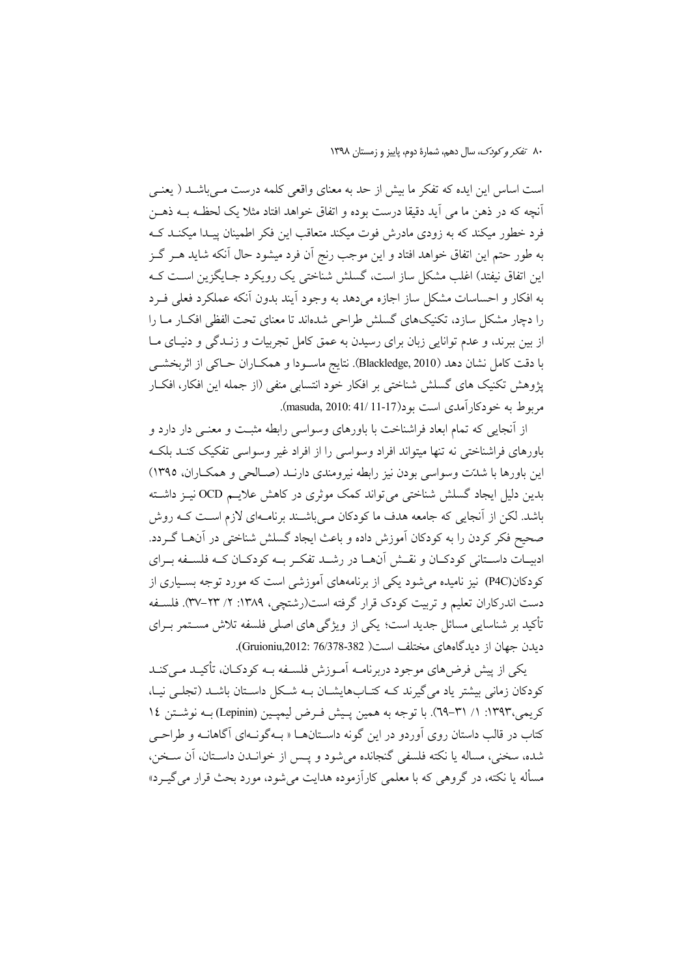است اساس این ایده که تفکر ما بیش از حد به معنای واقعی کلمه درست مـی باشــد ( یعنــی أنچه كه در ذهن ما مي أيد دقيقا درست بوده و اتفاق خواهد افتاد مثلا يك لحظـه بــه ذهــن فرد خطور میکند که به زودی مادرش فوت میکند متعاقب این فکر اطمینان پیـدا میکنـد کـه به طور حتم این اتفاق خواهد افتاد و این موجب رنج اَن فرد میشود حال اَنکه شاید هــر گــز این اتفاق نیفتد) اغلب مشکل ساز است، گسلش شناختی یک رویکرد جـایگزین اسـت کـه به افکار و احساسات مشکل ساز اجازه میدهد به وجود آیند بدون آنکه عملکرد فعلی فـرد را دچار مشکل سازد، تکنیکهای گسلش طراحی شدهاند تا معنای تحت الفظی افکـار مـا را از بین ببرند، و عدم توانایی زبان برای رسیدن به عمق کامل تجربیات و زنـدگی و دنیـای مـا با دقت کامل نشان دهد (Blackledge, 2010). نتايج ماسـودا و همکــاران حــاکي از اثربخشــي پژوهش تکنیک های گسلش شناختی بر افکار خود انتسابی منفی (از جمله این افکار، افکار مربوط به خودکارآمدی است بود(17-11/11-17). masuda, 2010: 41/

از آنجایی که تمام ابعاد فراشناخت با باورهای وسواسی رابطه مثبت و معنـی دار دارد و باورهای فراشناختی نه تنها میتواند افراد وسواسی را از افراد غیر وسواسی تفکیک کنـد بلکـه این باورها با شدتت وسواسی بودن نیز رابطه نیرومندی دارنـد (صـالحی و همکـاران، ١٣٩٥) بدین دلیل ایجاد گسلش شناخت<sub>ی</sub> میتواند کمک موثری در کاهش علایــم OCD نیــز داشــته باشد. لکن از آنجایی که جامعه هدف ما کودکان مـیباشـند برنامـهای لازم اسـت کـه روش صحیح فکر کردن را به کودکان آموزش داده و باعث ایجاد گسلش شناختی در آنهـا گـردد. ادبیـات داسـتانی کودکـان و نقـش آنهـا در رشـد تفکـر بـه کودکـان کـه فلسـفه بـرای کودکان(P4C) نیز نامیده می شود یکی از برنامههای آموزشی است که مورد توجه بسـیاری از دست اندرکاران تعلیم و تربیت کودک قرار گرفته است(رشتچی، ۱۳۸۹: ۲/ ۲۳–۳۷). فلسـفه تأکید بر شناسایی مسائل جدید است؛ یکی از ویژگی های اصلی فلسفه تلاش مسـتمر بـرای ديدن جهان از ديدگاههاي مختلف است( 382-76/378 :Gruioniu,2012).

یکی از پیش فرضهای موجود دربرنامـه آمـوزش فلسـفه بـه کودکـان، تأکیـد مـیکنـد کودکان زمانی بیشتر یاد می گیرند کـه کتـابهایشـان بـه شـکل داسـتان باشـد (تجلــی نیـا، كريمي،١٣٩٣: ١/ ٣١-٦٩). با توجه به همين پيش فـرض ليمپـين (Lepinin) بـه نوشـتن ١٤ کتاب در قالب داستان روی آوردو در این گونه داســتانهــا « بــهگونــهای آگاهانــه و طراحــی شده، سخني، مساله يا نكته فلسفى گنجانده مى شود و يـس از خوانــدن داسـتان، آن ســخن، مسأله یا نکته، در گروهی که با معلمی کارآزموده هدایت می شود، مورد بحث قرار می گیـرد»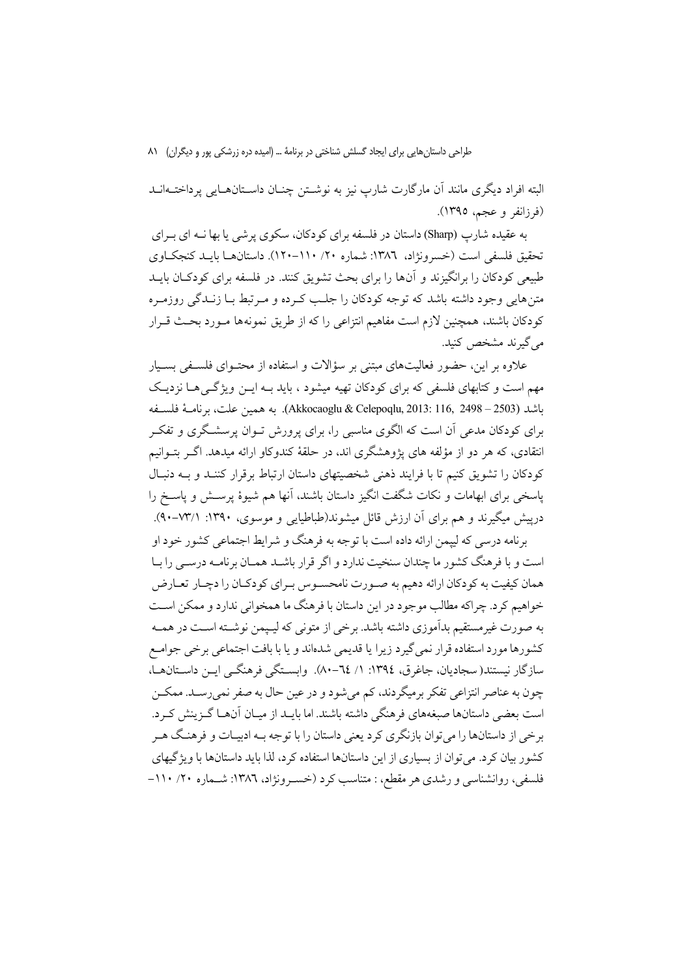البته افراد دیگری مانند آن مارگارت شارپ نیز به نوشـتن چنـان داسـتانهــایی پرداختــهانــد (فرزانفر و عجم، ١٣٩٥).

به عقیده شارپ (Sharp) داستان در فلسفه برای کودکان، سکوی پر شی یا بها نــه ای بــرای تحقيق فلسفي است (خسرونژاد، ١٣٨٦: شماره ٢٠/ ١١٠-١٢٠). داستان هـا بابـد كنجكـاوي طبیعی کودکان را برانگیزند و آنها را برای بحث تشویق کنند. در فلسفه برای کودکـان بایــد متن هایی وجود داشته باشد که توجه کودکان را جلب کـرده و مـرتبط بــا زنــدگی روزمـره کودکان باشند، همچنین لازم است مفاهیم انتزاعی را که از طریق نمونهها مـورد بحـث قـرار می گیرند مشخص کنید.

علاوه بر این، حضور فعالیتهای مبتنی بر سؤالات و استفاده از محتـوای فلسـفی بسـبار مهم است و کتابهای فلسفی که برای کودکان تهیه میشود ، باید په این ویژگی هیا نزدیک باشد (2503 – 2498 ,Akkocaoglu & Celepoqlu, 2013: 116, 2498). به همين علت، برنامــهْ فلســفه برای کودکان مدعی آن است که الگوی مناسبی را، برای پرورش تــوان پرسشــگری و تفکــر انتقادی، که هر دو از مؤلفه های پژوهشگری اند، در حلقهٔ کندوکاو ارائه میدهد. اگـر بتـوانیم کودکان را تشویق کنیم تا با فرایند ذهنی شخصیتهای داستان ارتباط برقرار کننـد و بـه دنبـال پاسخی برای ابهامات و نکات شگفت انگیز داستان باشند، آنها هم شیوهٔ پرســش و پاســخ را درپیش میگیرند و هم برای آن ارزش قائل میشوند(طباطیایی و موسوی، ۱۳۹۰: ۳۳/۱).

برنامه درسی که لیپمن ارائه داده است با توجه به فرهنگ و شرایط اجتماعی کشور خود او است و با فرهنگ کشور ما چندان سنخیت ندارد و اگر قرار باشـد همـان بر نامـه درســی را بـا همان کیفیت به کودکان ارائه دهیم به صـورت نامحسـوس بـرای کودکـان را دچـار تعـارض خواهیم کرد. چراکه مطالب موجود در این داستان با فرهنگ ما همخوانی ندارد و ممکن اسـت به صورت غیر مستقیم بدآموزی داشته باشد. برخی از متونی که لیـیمن نوشــته اســت در همــه كشورها مورد استفاده قرار نمى گيرد زيرا يا قديمي شدهاند و يا با بافت اجتماعي برخي جوامـع سازگار نیستند(سجادیان، جاغرق، ١٣٩٤: ١/ ٦٤–٨٠). وابسـتگي فرهنگـي ايــن داسـتانهــا، چون به عناصر انتزاعی تفکر برمیگردند، کم می شود و در عین حال به صفر نمی رسـد. ممکــن است بعضی داستانها صبغههای فرهنگی داشته باشند. اما بایـد از میـان آنهـا گـزینش کـرد. برخی از داستانها را میتوان بازنگری کرد یعنی داستان را با توجه بـه ادبیـات و فرهنـگ هـر کشور بیان کرد. می توان از بسیاری از این داستانها استفاده کرد، لذا باید داستانها با ویژگیهای فلسفی، روانشناسی و رشدی هر مقطع، : متناسب کرد (خسـرونژاد، ١٣٨٦: شـماره ٢٠/ ١١٠-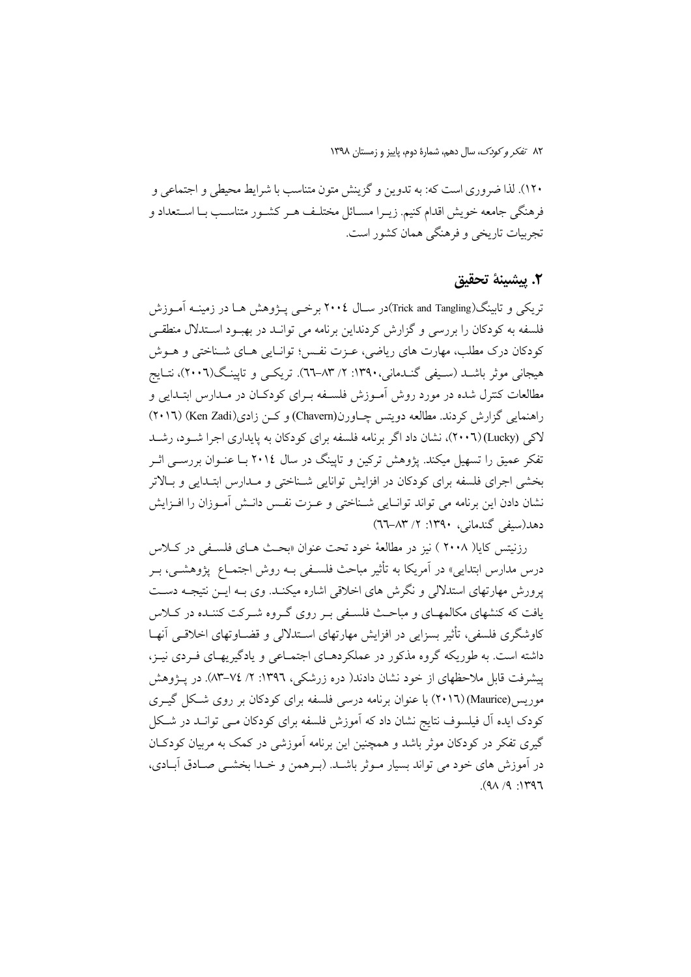۱۲۰). لذا ضروری است که: به تدوین و گزینش متون متناسب با شرایط محیطی و اجتماعی و فرهنگی جامعه خویش اقدام کنیم. زیـرا مســائل مختلـف هـر کشـور متناسـب بـا اسـتعداد و تجربیات تاریخی و فرهنگی همان کشور است.

#### ٢. ييشينة تحقيق

تریکی و تابینگ(Trick and Tangling)در ســال ۲۰۰٤ برخــی پــژوهش هــا در زمینــه آمــوزش فلسفه به کودکان را بررسی و گزارش کردنداین برنامه می توانـد در بهبـود اسـتدلال منطقـی کودکان درک مطلب، مهارت های ریاضی، عـزت نفـس؛ توانـایی هـای شـناختی و هــوش هیجانی موثر باشـد (سـیفی گنـدمانی،۱۳۹۰: ۲/ ۸۳-٦٦). تریکــی و تایینـگ(۲۰۰٦)، نتـایج مطالعات کنترل شده در مورد روش اَمـوزش فلسـفه بـرای کودکـان در مـدارس ابتـدایی و راهنمایی گزارش کردند. مطالعه دویتس چاورن(Chavern) و کمن زادی(Ken Zadi) (۲۰۱٦) لاکی (Lucky)(۲۰۰٦)، نشان داد اگر برنامه فلسفه برای کودکان به پایداری اجرا شود، رشد تفکر عمیق را تسهیل میکند. یژوهش ترکین و تایینگ در سال ۲۰۱۶ بــا عنــوان بررســی اثــر بخشی اجرای فلسفه برای کودکان در افزایش توانایی شـناختی و مـدارس ابتـدایی و بـالاتر نشان دادن این برنامه می تواند توانـایی شــناختی و عــزت نفــس دانــش آمــوزان را افــزایش دهد(سيفي گندماني، ١٣٩٠: ٢/ ٨٣-٦٦)

رزنيتس كايا( ٢٠٠٨ ) نيز در مطالعهٔ خود تحت عنوان «بحث هـاي فلسـفي در كـلاس درس مدارس ابتدایی» در آمریکا به تأثیر مباحث فلسـفی بـه روش اجتمـاع یژوهشـی، بـر یرورش مهارتهای استدلالی و نگرش های اخلاقی اشاره میکنید. وی بیه این نتیجیه دست یافت که کنشهای مکالمهـای و مباحـث فلسـفی بـر روی گـروه شـرکت کننـده در کــلاس کاوشگری فلسفی، تأثیر بسزایی در افزایش مهارتهای استدلالی و قضیاوتهای اخلاقی آنهیا داشته است. به طوریکه گروه مذکور در عملکردهـای اجتمـاعی و یادگیریهـای فـردی نیـز، پیشرفت قابل ملاحظهای از خود نشان دادند( دره زرشکی، ۱۳۹۲: ۲/ ۷٤–۸۳). در پــژوهش موریس(Maurice)(۲۰۱٦) با عنوان برنامه درسی فلسفه برای کودکان بر روی شکل گیـری کودک ایده آل فیلسوف نتایج نشان داد که آموزش فلسفه برای کودکان مـی توانــد در شــکل گیری تفکر در کودکان موثر باشد و همچنین این برنامه آموزشی در کمک به مربیان کودکـان در آموزش های خود می تواند بسیار مـوثر باشـد. (بـرهمن و خـدا بخشــی صـادق آبــادی،  $(9\land 9)$ :  $1197$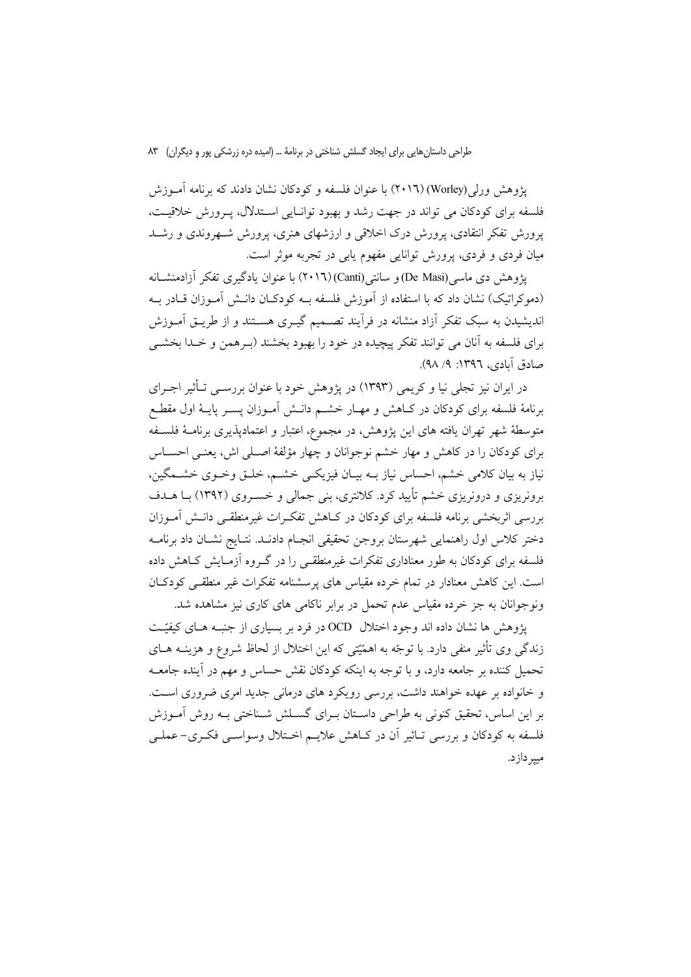یژوهش ورلی (Worley) (۲۰۱٦) با عنوان فلسفه و کودکان نشان دادند که برنامه آمــوزش فلسفه برای کودکان می تواند در جهت رشد و بهبود توانبایی استدلال، پیرورش خلاقیت، یرورش تفکر انتقادی، پرورش درک اخلاقی و ارزشهای هنری، پرورش شـهروندی و رشـد میان فردی و فردی، پرورش توانایی مفهوم پابی در تجربه موثر است.

یژوهش دی ماسه (De Masi) و سانتی (Canti)(۲۰۱٦) با عنوان یادگیری تفکر آزادمنشــانه (دموکراتیک) نشان داد که با استفاده از آموزش فلسفه بـه کودکـان دانـش آمـوزان قــادر بـه اندیشیدن به سبک تفکر آزاد منشانه در فرأیند تصـمیم گیـری هســتند و از طریــق اَمــوزش برای فلسفه به آنان می توانند تفکر پیچیده در خود را بهبود بخشند (بـرهمن و خـدا بخشــی صادق آبادي، ١٣٩٦: ٩/ ٩٨).

در ایران نیز تجلی نیا و کریمی (۱۳۹۳) در پژوهش خود یا عنوان بررسبی تبأثیر اجبرای برنامهٔ فلسفه برای کودکان در کـاهش و مهـار خشـم دانـش آمـوزان پسـر پایـهٔ اول مقطـع متوسطهٔ شهر تهران یافته های این یژوهش، در مجموع، اعتبار و اعتمادیذیری برنامـهٔ فلسـفه برای کودکان را در کاهش و مهار خشم نوجوانان و چهار مؤلفهٔ اصـلی اش، یعنـی احسـاس نیاز به بیان کلامی خشم، احساس نیاز بـه بیـان فیزیکـی خشـم، خلـق وخـوی خشـمگین، برونریزی و درونریزی خشم تأیید کرد. کلانتری، بنی جمالی و خسـروی (۱۳۹۲) بــا هــدف بررسی اثربخشی برنامه فلسفه برای کودکان در کـاهش تفکـرات غیرمنطقـبی دانـش آمـوزان دختر كلاس اول راهنمايي شهرستان بروجن تحقيقي انجـام دادنــد. نتــايج نشــان داد برنامــه فلسفه برای کودکان به طور معناداری تفکرات غیرمنطقـی را در گـروه آزمـایش کـاهش داده است. این کاهش معنادار در تمام خرده مقیاس های پرسشنامه تفکرات غیر منطقی کودکان ونوجوانان به جز خرده مقیاس عدم تحمل در برابر ناکامی های کاری نیز مشاهده شد.

یژوهش ها نشان داده اند وجود اختلال OCD در فرد بر بسیاری از جنبـه هـای کیفیّـت زندگی وی تأثیر منفی دارد. با توجّه به اهمّیّتی که این اختلال از لحاظ شروع و هزینــه هــای تحمیل کننده بر جامعه دارد، و با توجه به اینکه کودکان نقش حساس و مهم در آینده جامعــه و خانواده بر عهده خواهند داشت، بررسی رویکرد های درمانی جدید امری ضروری است. بر این اساس، تحقیق کنونی به طراحی داسـتان بـرای گســلش شــناختی بــه روش آمــوزش فلسفه به کودکان و بررسی تـاثیر اَن در کــاهش علایــم اخــتلال وسواســی فکــری- عملــی مپير دازد.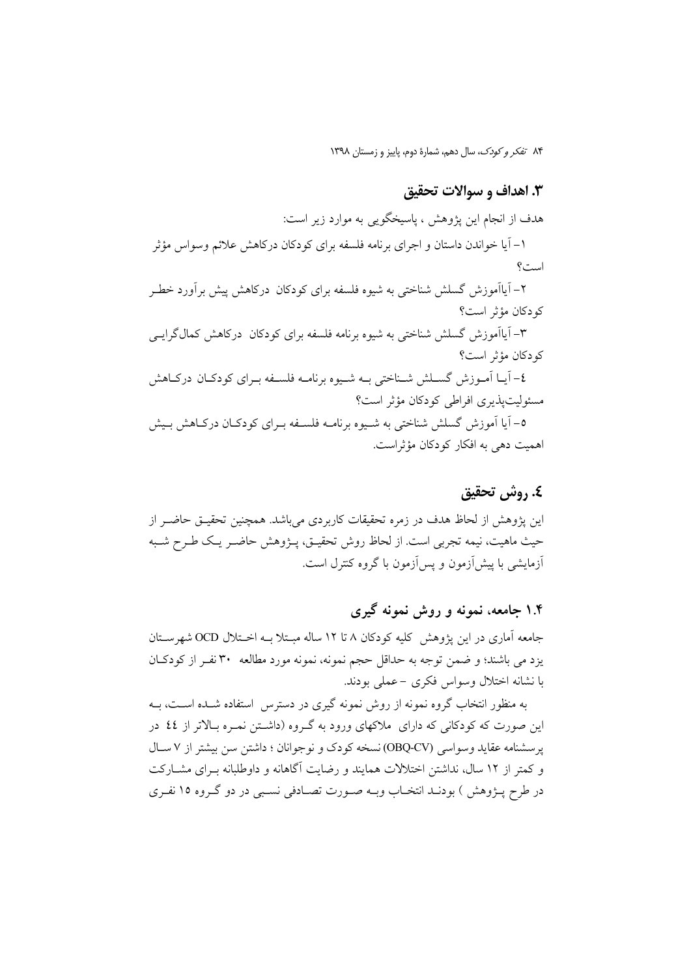### 3. اهداف و سوالات تحقيق

هدف از انجام این پژوهش ، پاسیخگویی به موارد زیر است: ۱– آیا خواندن داستان و اجرای برنامه فلسفه برای کودکان درکاهش علائم وسواس مؤثر است؟ ۲– آیاآموزش گسلش شناختی به شیوه فلسفه برای کودکان درکاهش پیش برآورد خطـر كودكان مؤثر است؟ ۳– آیاآموزش گسلش شناختی به شیوه برنامه فلسفه برای کودکان درکاهش کمالگرایسی كودكان مؤثر است؟ ٤- آيــا آمــوزش گســلش شــناختي بــه شــيوه برنامــه فلســفه بــراي كودكــان دركــاهش مسئوليتيذيري افراطي كودكان مؤثر است؟ ٥– آيا اَموزش گسلش شناختي به شـيوه برنامــه فلســفه بــراي كودكــان دركــاهش بــيش اهميت دهي به افكار كودكان مؤثراست.

### ٤. روش تحقيق

این پژوهش از لحاظ هدف در زمره تحقیقات کاربردی می باشد. همچنین تحقیـق حاضـر از حيث ماهيت، نيمه تجربي است. از لحاظ روش تحقيــق، پـــۋوهش حاضــر يــك طــرح شــبه آزمایشی با پیش آزمون و پس آزمون با گروه کنترل است.

### ۱.۴ جامعه، نمونه و روش نمونه گیری

جامعه آماری در این یژوهش کلیه کودکان ۸ تا ۱۲ ساله مبـتلا بـه اخـتلال OCD شهرسـتان يزد مي باشند؛ و ضمن توجه به حداقل حجم نمونه، نمونه مورد مطالعه ٣٠ نفـر از كودكـان با نشانه اختلال وسواس فكرى –عملى بودند.

به منظور انتخاب گروه نمونه از روش نمونه گیری در دسترس استفاده شـده اسـت، بـه این صورت که کودکانی که دارای ملاکهای ورود به گـروه (داشــتن نمـره بــالاتر از ٤٤ در یر سشنامه عقاید وسواسی (OBQ-CV) نسخه کودک و نوجوانان ؛ داشتن سن بیشتر از ۷ سـال و کمتر از ۱۲ سال، نداشتن اختلالات همایند و رضایت آگاهانه و داوطلبانه بـرای مشــارکت در طرح پـــزوهش ) بودنــد انتخــاب وبــه صــورت تصــادفي نســبي در دو گــروه ١٥ نفــري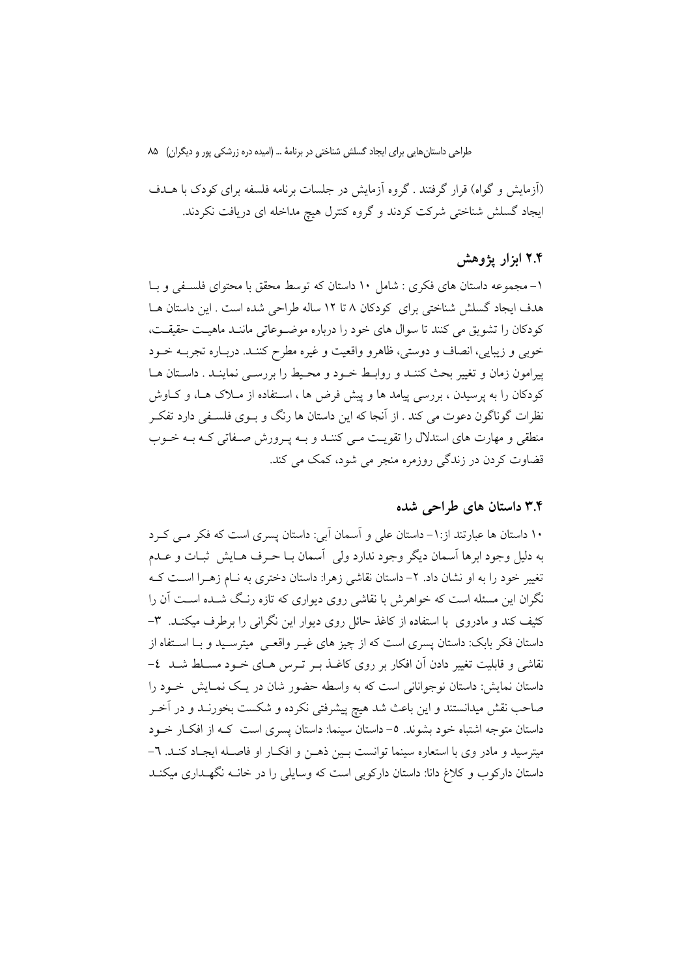(اَزمایش و گواه) قرار گرفتند . گروه اَزمایش در جلسات برنامه فلسفه برای کودک با هــدف ایجاد گسلش شناختی شرکت کردند و گروه کنترل هیچ مداخله ای دریافت نکردند.

#### ۲.۴ ابزار یژوهش

۱- مجموعه داستان های فکری : شامل ۱۰ داستان که توسط محقق با محتوای فلسـفی و بـا هدف ایجاد گسلش شناختی برای کودکان ۸ تا ۱۲ ساله طراحی شده است . این داستان هـا كودكان را تشويق مي كنند تا سوال هاي خود را درباره موضوعاتي ماننـد ماهيـت حقيقـت، خوبي و زيبايي، انصاف و دوستي، ظاهرو واقعيت و غيره مطرح كننـد. دربـاره تجربــه خــود پیرامون زمان و تغییر بحث کننـد و روابـط خـود و محـیط را بررسـی نماینـد . داسـتان هـا کودکان را به پرسیدن ، بررسی پیامد ها و پیش فرض ها ، اسـتفاده از مــلاک هــا، و کــاوش نظرات گوناگون دعوت می کند . از آنجا که این داستان ها رنگ و بــوی فلســفی دارد تفکــر منطقی و مهارت های استدلال را تقویت مـی کننـد و بـه پـرورش صـفاتی کـه بـه خـوب قضاوت کردن در زندگی روزمره منجر می شود، کمک می کند.

#### ۳.۴ داستان های طراحی شده

۱۰ داستان ها عبارتند از: ۱- داستان علی و آسمان آبی: داستان پسری است که فکر مـی کـرد به دلیل وجود ابرها اسمان دیگر وجود ندارد ولی ِ اَسمان بــا حــرف هــایش ِ ثبــات و عــدم تغییر خود را به او نشان داد. ۲– داستان نقاشی زهرا: داستان دختری به نـام زهـرا اسـت کـه نگران این مسئله است که خواهرش با نقاشی روی دیواری که تازه رنگ شــده اســت آن را کثیف کند و مادروی با استفاده از کاغذ حائل روی دیوار این نگرانی را برطرف میکنـد. ۳-داستان فکر بابک: داستان پسری است که از چیز های غیـر واقعـی ِ میترسـید و بـا اسـتفاه از نقاشی و قابلیت تغییر دادن اَن افکار بر روی کاغــذ بــر تــرس هــای خــود مســلط شــد ٤– داستان نمایش: داستان نوجوانانی است که به واسطه حضور شان در یک نمـایش خـود را صاحب نقش میدانستند و این باعث شد هیچ پیشرفتی نکرده و شکست بخورنـد و در آخـر داستان متوجه اشتباه خود بشوند. ٥- داستان سينما: داستان پسري است كـه از افكــار خــود میترسید و مادر وی با استعاره سینما توانست بـین ذهـن و افکـار او فاصـله ایجـاد کنـد. ٦-داستان دارکوب و کلاغ دانا: داستان دارکوبی است که وسایلی را در خانــه نگهــداری میکنــد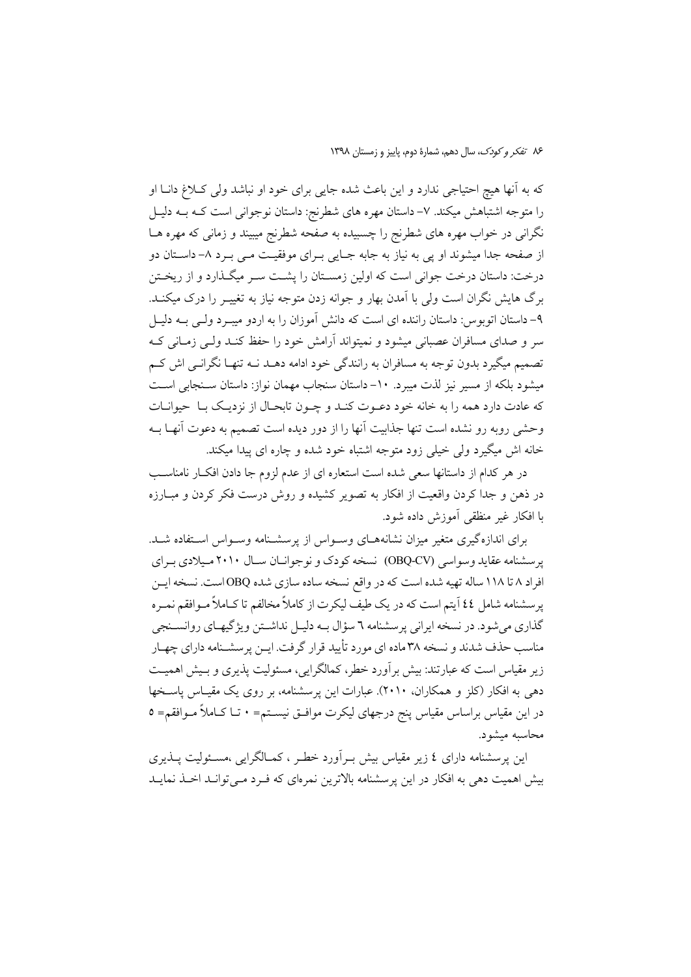که به آنها هیچ احتیاجی ندارد و این باعث شده جایی برای خود او نباشد ولی کـلاغ دانــا او را متوجه اشتباهش میکند. ۷- داستان مهره های شطرنج: داستان نوجوانی است کــه بــه دلیــل نگرانی در خواب مهره های شطرنج را چسبیده به صفحه شطرنج میبیند و زمانی که مهره هــا از صفحه جدا میشوند او یی به نیاز به جابه جـایی بـرای موفقیـت مـی بـرد ۸- داسـتان دو درخت: داستان درخت جوانی است که اولین زمسـتان را پشــت ســر میگــذارد و از ریخــتن برگ هایش نگران است ولی با آمدن بهار و جوانه زدن متوجه نیاز به تغییـر را درک میکنــد. ۹- داستان اتوبوس: داستان راننده ای است که دانش آموزان را به اردو میبـرد ولـی بـه دلیـل سر و صدای مسافران عصبانی میشود و نمیتواند آرامش خود را حفظ کنـد ولـی زمـانی کـه تصمیم میگیرد بدون توجه به مسافران به رانندگی خود ادامه دهــد نــه تنهـا نگرانــی اش کــم میشود بلکه از مسیر نیز لذت میبرد. ١٠- داستان سنجاب مهمان نواز: داستان سـنجابی اسـت كه عادت دارد همه را به خانه خود دعـوت كنـد و چـون تابحـال از نزديـك بـا حيوانـات وحشی رویه رو نشده است تنها جذابیت آنها را از دور دیده است تصمیم به دعوت آنهیا بیه خانه اش میگیرد ولی خیلی زود متوجه اشتباه خود شده و چاره ای پیدا میکند.

در هر کدام از داستانها سعی شده است استعاره ای از عدم لزوم جا دادن افکـار نامناسـب در ذهن و جدا کردن واقعیت از افکار به تصویر کشیده و روش درست فکر کردن و مبـارزه با افكار غير منظقى آموزش داده شود.

برای اندازهگیری متغیر میزان نشانههـای وسـواس از پرسشـنامه وسـواس اسـتفاده شـد. یر سشنامه عقاید وسواسی (OBQ-CV) نسخه کودک و نوجوانـان سـال ۲۰۱۰ مـیلادی بـرای افراد ۸ تا ۱۱۸ ساله تهیه شده است که در واقع نسخه ساده سازی شده OBQ است. نسخه ایس پرسشنامه شامل ٤٤ آيتم است كه در يك طيف ليكرت از كاملاً مخالفم تا كــاملاً مــوافقم نمــره گذاري مي شود. در نسخه ايراني پرسشنامه ٦ سؤال بـه دليـل نداشـتن ويژگيهـاي روانسـنجي مناسب حذف شدند و نسخه ۳۸ ماده ای مورد تأیید قرار گرفت. ایــن پرسشــنامه دارای چهــار زیر مقیاس است که عبارتند: بیش برآورد خطر، کمالگرایی، مسئولیت پذیری و بـیش اهمیـت دهی به افکار (کلز و همکاران، ۲۰۱۰). عبارات این پرسشنامه، بر روی یک مقیـاس پاسـخها در این مقیاس براساس مقیاس پنج درجهای لیکرت موافـق نیســتم= • تــا کــاملاً مــوافقم= ٥ محاسبه میشود.

این پرسشنامه دارای ٤ زیر مقیاس بیش بـرآورد خطـر ، کمـالگرایی ،مسـئولیت پــذیری بیش اهمیت دهی به افکار در این پرسشنامه بالاترین نمرمای که فـرد مـی توانـد اخـذ نمایـد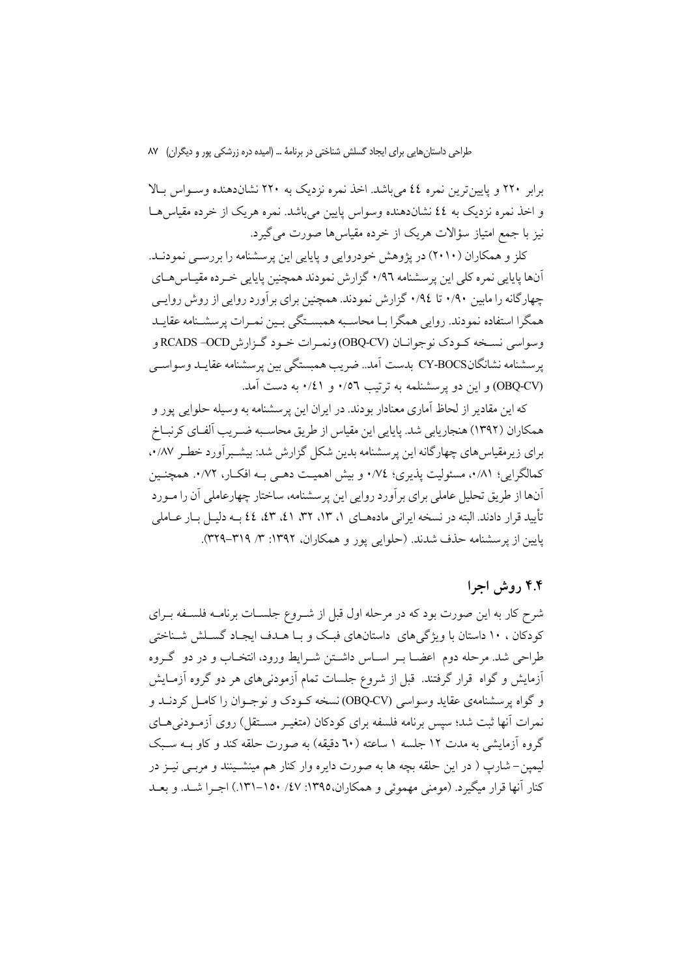برابر ۲۲۰ و پایین ترین نمره ٤٤ می باشد. اخذ نمره نزدیک به ۲۲۰ نشاندهنده وسـواس بـالا و اخذ نمره نزدیک به ٤٤ نشاندهنده وسواس پایین می باشد. نمره هریک از خرده مقیاس هـا نیز با جمع امتیاز سؤالات هریک از خرده مقیاسها صورت میگیرد.

کلز و همکاران (۲۰۱۰) در یژوهش خودروایی و پایایی این پرسشنامه را بررسـی نمودنـد. آنها پایایی نمره کلی این پرسشنامه ۰/۹٦ گزارش نمودند همچنین پایایی خـرده مقیـاس هــای چهارگانه را مابین ۰/۹۰ تا ۰/۹٤ گزارش نمودند. همچنین برای بر آورد روایی از روش روایـی همگرا استفاده نمودند. روایی همگرا بـا محاسـبه همبسـتگی بـین نمـرات پرسشـنامه عقایـد وسواسي نسخه كـودك نوجوانـان (OBQ-CV)ونمـرات خـود گـزارشOCD- RCADS و پرسشنامه نشانگانCY-BOCS بدست آمد.. ضريب همبستگي بين پرسشنامه عقايـد وسواسـي (OBQ-CV) و این دو پرسشنلمه به ترتیب ۰/۵٦ و ۰/٤١ به دست آمد.

که این مقادیر از لحاظ آماری معنادار بودند. در ایران این پرسشنامه به وسیله حلوایی پور و همکاران (۱۳۹۲) هنجاریابی شد. پایایی این مقیاس از طریق محاسـبه ضـریب اَلفـای کرنبـاخ برای زیرمقیاس های چهارگانه این برسشنامه بدین شکل گزارش شد: بیشـبر آورد خطـر ۰/۸۷ کمالگرایی؛ ۰/۸۱، مسئولیت پذیری؛ ۰/۷٤ و بیش اهمیت دهـی بـه افکـار، ۰/۷۲. همچنـین آنها از طریق تحلیل عاملی برای برآورد روایی این پرسشنامه، ساختار چهارعاملی آن را مـورد تأييد قرار دادند. البته در نسخه ايراني مادههــاي ١، ١٣، ٢٢، ٤١، ٤٢، ٤٤ بــه دليــل بــار عــاملي پایین از پرسشنامه حذف شدند. (حلوایی یور و همکاران، ۱۳۹۲: ۳/ ۳۱۹-۳۲۹).

## ۴.۴ روش اجرا

شرح کار به این صورت بود که در مرحله اول قبل از شـروع جلســات برنامــه فلســفه بــراي کودکان ، ۱۰ داستان با ویژگیهای داستانهای فبک و بـا هـدف ایجـاد گسـلش شـناختی طراحی شد. مرحله دوم اعضــا بــر اســاس داشــتن شــرایط ورود، انتخــاب و در دو گــروه أزمایش و گواه قرار گرفتند. قبل از شروع جلسات تمام آزمودنیهای هر دو گروه آزمـایش و گواه پرسشنامهی عقاید وسواسی (OBQ-CV) نسخه کـودک و نوجـوان را کامـل کردنــد و نمرات آنها ثبت شد؛ سپس برنامه فلسفه برای کودکان (متغیـر مســتقل) روی آزمـودنی۵حـای گروه آزمایشی به مدت ۱۲ جلسه ۱ ساعته (٦٠ دقیقه) به صورت حلقه کند و کاو پـه سـبک ليمين– شارب ( در اين حلقه بچه ها به صورت دايره وار كنار هم مينشـينند و مربـي نيـز در کنار آنها قرار میگیرد. (مومنی مهموئی و همکاران،۱۳۹۵: ۶۷/ ۱۵۰–۱۳۱). اجبرا شـد. و بعـد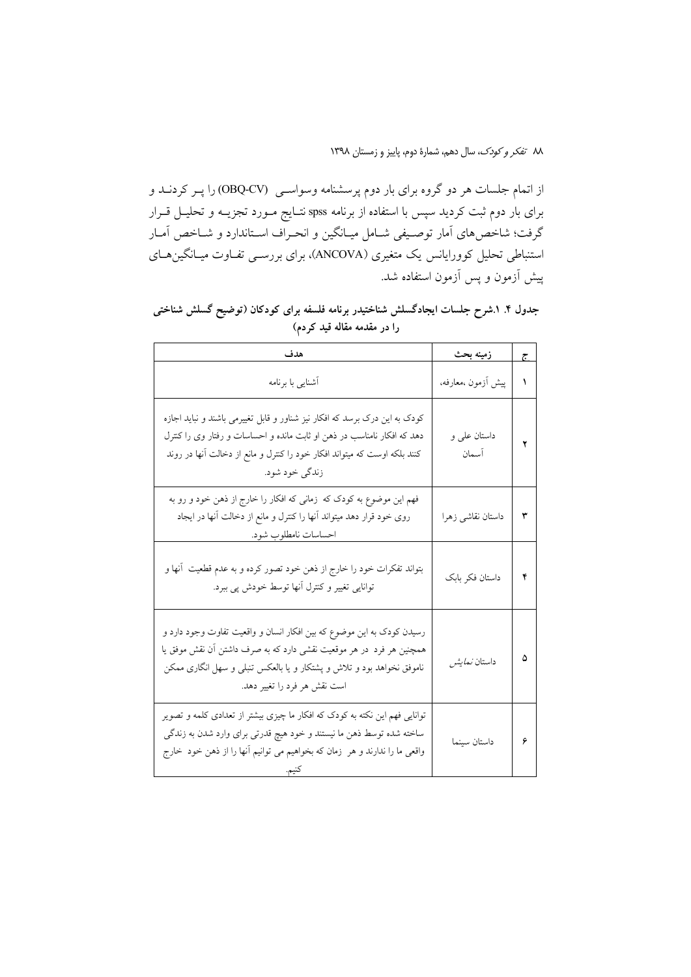از اتمام جلسات هر دو گروه برای بار دوم پرسشنامه وسواسـی (OBQ-CV) را پـر کردنــد و برای بار دوم ثبت کردید سپس با استفاده از برنامه spss نتـایج مـورد تجزیــه و تحلیــل قــرار گرفت؛ شاخص،های آمار توصـیفی شـامل میـانگین و انحـراف اسـتاندارد و شـاخص آمـار استنباطی تحلیل کوورایانس یک متغیری (ANCOVA)، برای بررسـی تفــاوت میــانگین۵ــای پیش آزمون و پس آزمون استفاده شد.

جدول ۴. ۱.شرح جلسات ایجادگسلش شناختیدر برنامه فلسفه برای کودکان (توضیح گسلش شناختی را در مقدمه مقاله قید کردم)

| هدف                                                                                                                                                                                                                                                   | زمینه بحث             | ج |
|-------------------------------------------------------------------------------------------------------------------------------------------------------------------------------------------------------------------------------------------------------|-----------------------|---|
| أشنايي با برنامه                                                                                                                                                                                                                                      | پیش آزمون ،معارفه،    | ١ |
| کودک به این درک برسد که افکار نیز شناور و قابل تغییرمی باشند و نباید اجازه<br>دهد که افکار نامناسب در ذهن او ثابت مانده و احساسات و رفتار وی را کنترل<br>کنند بلکه اوست که میتواند افکار خود را کنترل و مانع از دخالت آنها در روند<br>زندگي خود شود.  | داستان علی و<br>آسمان | ۲ |
| فهم این موضوع به کودک که  زمانی که افکار را خارج از ذهن خود و رو به<br>روی خود قرار دهد میتواند آنها را کنترل و مانع از دخالت آنها در ایجاد<br>احساسات نامطلوب شود.                                                                                   | داستان نقاشى زهرا     | ٣ |
| بتواند تفکرات خود را خارج از ذهن خود تصور کرده و به عدم قطعیت  أنها و<br>توانایی تغییر و کنترل أنها توسط خودش پی ببرد.                                                                                                                                | داستان فكر بابك       | ۴ |
| رسیدن کودک به این موضوع که بین افکار انسان و واقعیت تفاوت وجود دارد و<br>همچنین هر فرد در هر موقعیت نقشی دارد که به صرف داشتن آن نقش موفق یا<br>ناموفق نخواهد بود و تلاش و پشتکار و یا بالعکس تنبلی و سهل انگاری ممکن<br>است نقش هر فرد را تغییر دهد. | داستان <i>نمایش</i>   | ۵ |
| توانایی فهم این نکته به کودک که افکار ما چیزی بیشتر از تعدادی کلمه و تصویر<br>ساخته شده توسط ذهن ما نیستند و خود هیچ قدرتی برای وارد شدن به زندگی<br>واقعی ما را ندارند و هر  زمان که بخواهیم می توانیم آنها را از ذهن خود  خارج                      | داستان سينما          | ۶ |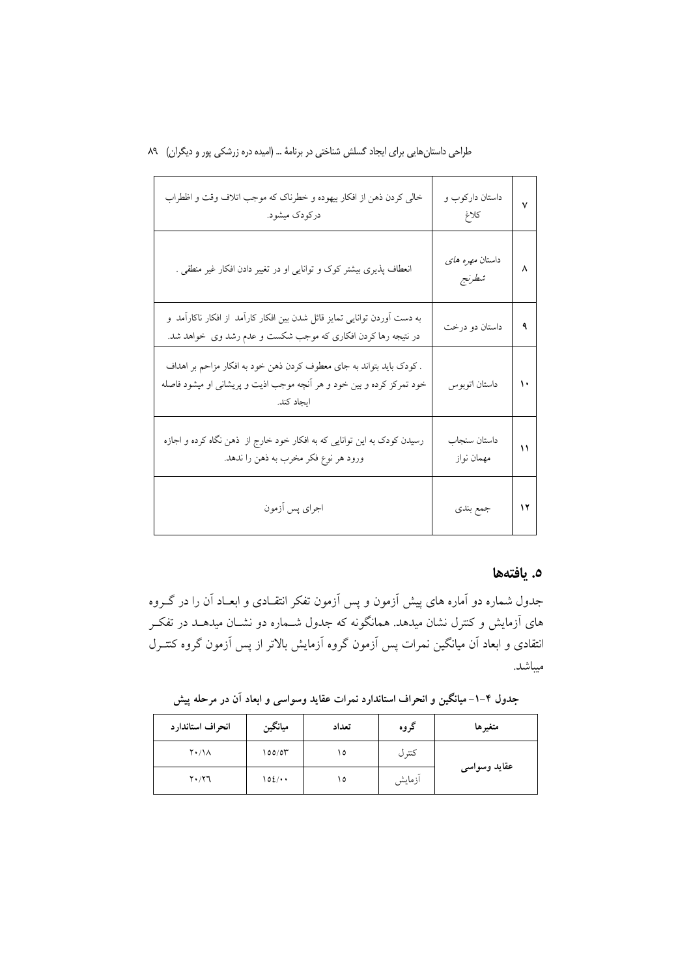| خالي كردن ذهن از افكار بيهوده و خطرناك كه موجب اتلاف وقت و اظطراب<br>درکودک میشود.                                                                          | داستان دارکوب و<br>كلاغ         | ٧  |
|-------------------------------------------------------------------------------------------------------------------------------------------------------------|---------------------------------|----|
| انعطاف پذیری بیشتر کوک و توانایی او در تغییر دادن افکار غیر منطقی .                                                                                         | داستان <i>مهره های</i><br>شطرنج | ٨  |
| به دست آوردن توانایی تمایز قائل شدن بین افکار کارآمد از افکار ناکارآمد و<br>در نتیجه رها کردن افکاری که موجب شکست و عدم رشد وی خواهد شد.                    | داستان دو درخت                  | ٩  |
| . کودک باید بتواند به جای معطوف کردن ذهن خود به افکار مزاحم بر اهداف<br>خود تمرکز کرده و بین خود و هر آنچه موجب اذیت و پریشانی او میشود فاصله<br>ايجاد كند. | داستان اتوبوس                   | ١٠ |
| رسیدن کودک به این توانایی که به افکار خود خارج از  ذهن نگاه کرده و اجازه<br>ورود هر نوع فكر مخرب به ذهن را ندهد.                                            | داستان سنجاب<br>مهمان نواز      | ۱۱ |
| اجراي پس أزمون                                                                                                                                              | جمع بندي                        | ۱۲ |

### ٥. يافتهها

جدول شماره دو اَماره های پیش اَزمون و پس اَزمون تفکر انتقـادی و ابعــاد اَن را در گــروه های آزمایش و کنترل نشان میدهد. همانگونه که جدول شــماره دو نشــان میدهــد در تفکــر انتقادی و ابعاد آن میانگین نمرات پس آزمون گروه آزمایش بالاتر از پس آزمون گروه کنتـرل مبياشد.

جدول ۴–۱– میانگین و انحراف استاندارد نمرات عقاید وسواسی و ابعاد آن در مرحله پیش

| انحراف استاندارد    | ميانگين      | تعداد | گروه   | متغيرها      |
|---------------------|--------------|-------|--------|--------------|
| $Y \cdot / \Lambda$ | 100/07       | ۱٥    | كتتر ل |              |
| $Y \cdot / Y$ ٦     | $102/\cdots$ | ۱٥    | أزمايش | عقايد وسواسى |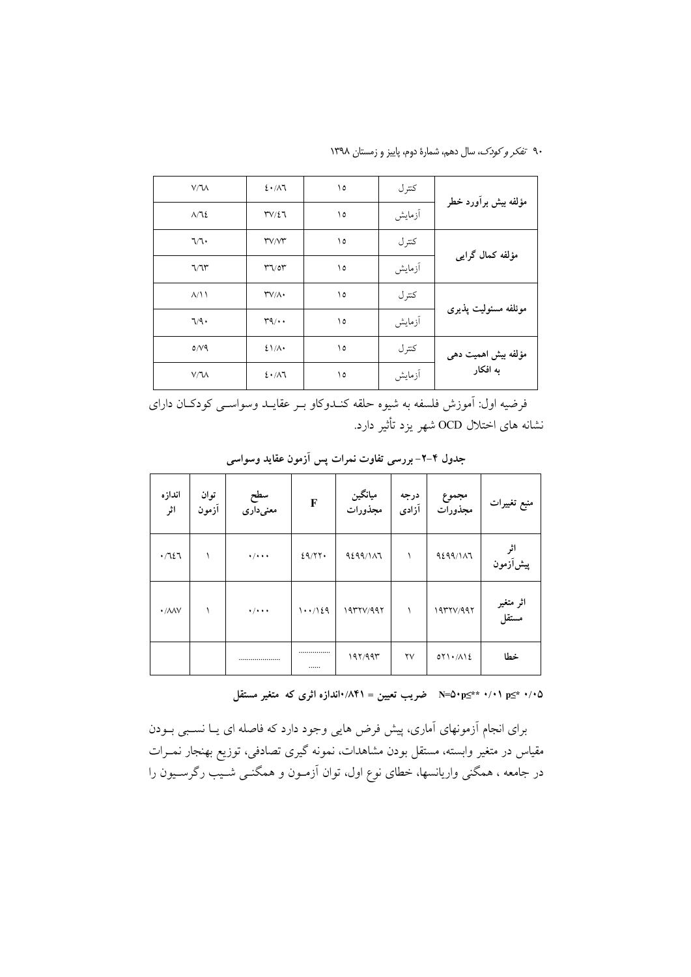۹۰ تف*کر و کودک*، سال دهم، شمارهٔ دوم، پاییز و زمستان ۱۳۹۸

| V/M               | 2.11            | ۱٥ | كتر ل  |                      |
|-------------------|-----------------|----|--------|----------------------|
| $\Lambda/\Lambda$ | $TV/\Sigma$     | ۱٥ | أزمايش | مؤلفه بیش برأورد خطر |
| ٦/٦٠              | TVM             | ١٥ | كتر ل  | مؤلفه كمال گرايي     |
| 7/7               | 77/07           | ۱٥ | آزمايش |                      |
| $\Lambda/\Lambda$ | $TV/\Lambda$    | ۱٥ | كتر ل  | موئلفه مسئوليت يذيرى |
| ٦/٩٠              | $r\gamma\cdots$ | ١٥ | أزمايش |                      |
| $0/\sqrt{9}$      | $21/\lambda$    | ۱٥ | كترل   | مؤلفه بیش اهمیت دهی  |
| V/M               | 2.1             | ۱٥ | آزمايش | به افکار             |

فرضيه اول: آموزش فلسفه به شيوه حلقه كنـدوكاو بـر عقايـد وسواسـي كودكـان داراي نشانه های اختلال OCD شهر بزد تأثیر دارد.

| اندازه<br>اثر              | توان<br>آزمون | سطح<br>معنیداری             | F      | میانگین<br>مجذورات | درجه<br>آزادى          | مجموع<br>مجذورات           | منبع تغييرات       |
|----------------------------|---------------|-----------------------------|--------|--------------------|------------------------|----------------------------|--------------------|
| .7127                      |               | $\cdot$ / $\cdot$ + $\cdot$ | 29/77. | 9299/117           |                        | 9299/117                   | پیشآزمون           |
| $\cdot$ / $\land\land\lor$ |               | $\cdot$ / $\cdot$ +         | 1.1129 | 19771/997          | $\lambda$              | 1977V/997                  | اثر متغیر<br>مستقل |
|                            |               |                             | <br>   | 197/995            | $\mathsf{Y}\mathsf{V}$ | $OY\setminus A\setminus L$ | خطا                |

جدول ۴–۲– بررسی تفاوت نمرات پس آزمون عقاید وسواسی

۰/۰۵ \*m=۵۰p≤\* ۰/۰۱ منسب تعیین = ۰/۴۸/ اندازه اثری که متغیر مستقل

برای انجام آزمونهای آماری، پیش فرض هایی وجود دارد که فاصله ای یـا نسـبی بـودن مقیاس در متغیر وابسته، مستقل بودن مشاهدات، نمونه گیری تصادفی، توزیع بهنجار نمــرات در جامعه ، همگنی واریانسها، خطای نوع اول، توان اَزمـون و همگنــی شــیب رگرســیون را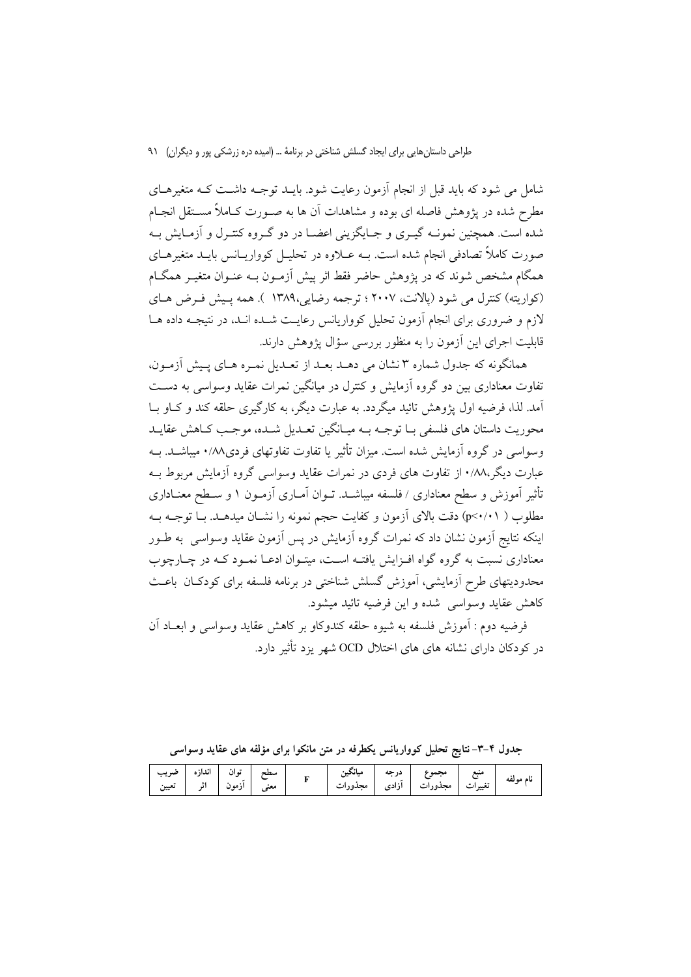شامل می شود که باید قبل از انجام آزمون رعایت شود. بایـد توجـه داشـت کـه متغیرهـای مطرح شده در یژوهش فاصله ای بوده و مشاهدات آن ها به صـورت کــاملاً مســتقل انجــام شده است. همچنین نمونــه گیــری و جــایگزینی اعضــا در دو گــروه کنتــرل و آزمــایش بــه صورت کاملاً تصادفی انجام شده است. بــه عـــلاوه در تحلیــل کوواریــانس بایــد متغیرهــای همگام مشخص شوند که در یژوهش حاضر فقط اثر پیش آزمـون بــه عنـوان متغیــر همگــام (كواريته) كنترل مي شود (يالانت، ٢٠٠٧ ؛ ترجمه رضايي،١٣٨٩ ). همه يـيش فـرض هـاي لازم و ضروری برای انجام آزمون تحلیل کوواریانس رعایت شـده انـد، در نتیجـه داده هــا قابلیت اجرای این آزمون را به منظور بررسی سؤال یژوهش دارند.

همانگونه که جدول شماره ۳ نشان می دهـد بعـد از تعـدیل نمـره هـای پـیش آزمـون، تفاوت معناداری بین دو گروه آزمایش و کنترل در میانگین نمرات عقاید وسواسی به دسـت آمد. لذا، فرضیه اول یژوهش تائید میگردد. به عبارت دیگر، به کارگیری حلقه کند و کـاو بــا محوريت داستان هاي فلسفي بــا توجــه بــه ميــانگين تعــديل شــده، موجــب كــاهش عقايــد وسواسی در گروه آزمایش شده است. میزان تأثیر یا تفاوت تفاوتهای فردی۱/۸/ میباشـد. بــه عبارت دیگر،۰/۸۸ از تفاوت های فردی در نمرات عقاید وسواسی گروه آزمایش مربوط بـه تأثیر آموزش و سطح معناداری / فلسفه میباشـد. تــوان آمــاری آزمــون ١ و ســطح معنــاداری مطلوب ( p<٠/٠١) دقت بالاي آزمون و كفايت حجم نمونه را نشــان ميدهــد. بــا توجــه بــه اینکه نتایج آزمون نشان داد که نمرات گروه آزمایش در پس آزمون عقاید وسواسی به طـور معناداری نسبت به گروه گواه افـزایش یافتـه اسـت، میتـوان ادعـا نمـود کـه در چـارچوب محدودیتهای طرح اَزمایشی، اَموزش گسلش شناختی در برنامه فلسفه برای کودکـان باعـث كاهش عقابد وسواسي شده و اين فرضيه تائيد ميشود.

فرضيه دوم : اَموزش فلسفه به شيوه حلقه كندوكاو بر كاهش عقايد وسواسي و ابعـاد اَن در کودکان دارای نشانه های های اختلال OCD شهر یزد تأثیر دارد.

جدول ۴–۳– نتایج تحلیل کوواریانس یکطرفه در متن مانکوا برای مؤلفه های عقاید وسواسی

|  | انداز ه<br>-ته ان<br>  آزمون   اثر   تعیین |  |  | `ىجين |  | محمه<br>ح عبسی ور.<br>برات مجذورات آزادی<br>$\sim$ . | منبع<br>تغيير | نام مه لغه |
|--|--------------------------------------------|--|--|-------|--|------------------------------------------------------|---------------|------------|
|--|--------------------------------------------|--|--|-------|--|------------------------------------------------------|---------------|------------|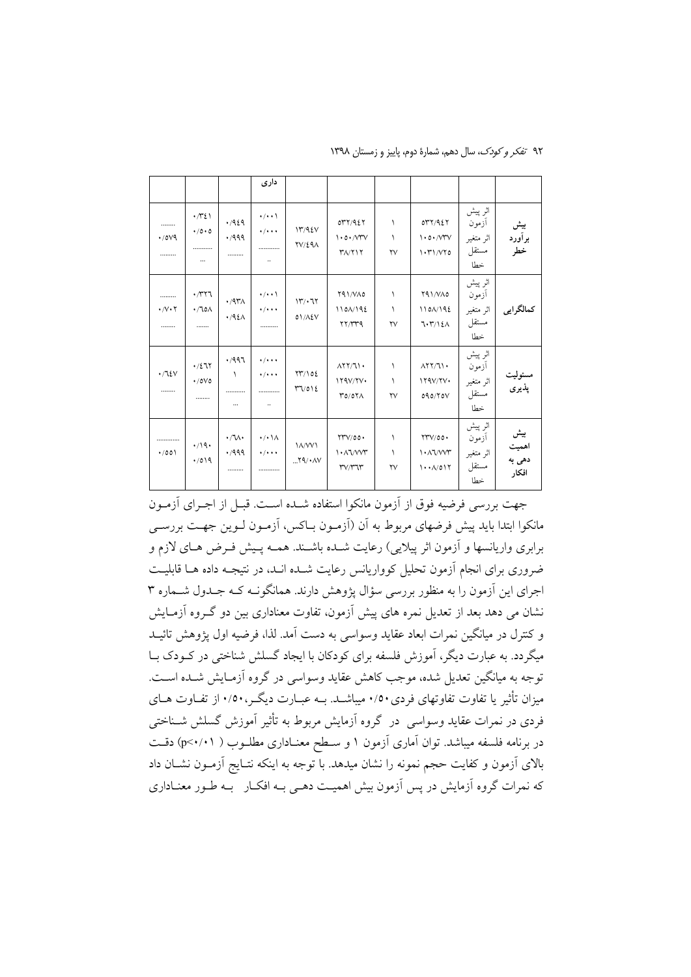|                                    |                                                        |                              | داری                                                                   |                               |                                                          |                                  |                                                                                                |                                               |                                 |
|------------------------------------|--------------------------------------------------------|------------------------------|------------------------------------------------------------------------|-------------------------------|----------------------------------------------------------|----------------------------------|------------------------------------------------------------------------------------------------|-----------------------------------------------|---------------------------------|
| <br>$\cdot$ /0 $V9$<br>            | $\cdot$ / $\cdot$ /<br>$\cdot / 0 \cdot 0$<br><br>     | .1929<br>4499<br>            | $\cdot$ / $\cdot$<br>$\cdot$ / $\cdot$ +<br>.<br>$\ddotsc$             | 17795V<br>$\frac{YV}{2}$      | OYY/92Y<br>1.0.77V<br>$Y/\gamma$                         | ١<br>١<br>$\mathsf{Y}\mathsf{V}$ | OYY/9EY<br>1.0.777<br>1.71/V70                                                                 | اثر پیش<br>أزمون<br>اثر متغير<br>مستقل<br>خطا | بیش<br>برآورد<br>خطر            |
| <br>$\cdot/\vee\cdot\curlyvee$<br> | $\cdot$ $\gamma$ $\gamma$<br>$\cdot$ / lo $\wedge$<br> | $\cdot$ /9۳۸<br>.421         | $\cdot/\cdot\cdot$<br>$\bullet$ / $\bullet$ +<br>                      | $11'/\cdot 71$<br>01/AEV      | YAI/VAO<br>1101/192<br>YY/YYQ                            | ١<br>١<br>$\mathsf{Y}\mathsf{V}$ | Y91/VA0<br>1101/192<br>7.7/12A                                                                 | اثر پیش<br>أزمون<br>اثر متغير<br>مستقل<br>خطا | كمالگرايي                       |
| $\cdot$ / $\alpha$<br>             | $\cdot/277$<br>$\cdot$ /0 $\vee$ 0<br>                 | .7997<br>١<br><br>$\cdots$   | $\cdot$ / $\cdot$ + $\cdot$<br>$\bullet$ / $\bullet$ +<br><br>$\ldots$ | YY/102<br>$\Upsilon \Upsilon$ | $\Lambda$ YY/ $\Lambda$<br>179V/Y<br>TO/OY               | ١<br>١<br>$\mathsf{Y}\mathsf{V}$ | $\Lambda$ YY/J) .<br>179V/Y<br>090/70V                                                         | اثر پیش<br>أزمون<br>اثر متغير<br>مستقل<br>خطا | مسئوليت<br>پذیری                |
| .<br>$\cdot$ /00)                  | $\cdot$ /19 $\cdot$<br>$\cdot$ /019                    | $\cdot/\sqrt{1}$<br>4499<br> | $\cdot/\cdot \wedge$<br>$\cdot$ / $\cdot$ +<br>.                       | <b>IA/WI</b><br>$Y9/^*AV$     | YYV/00.<br>$\lambda \cdot \lambda \sqrt{V}$<br>T'/T''T'' | ١<br>١<br>$\mathsf{Y}\mathsf{V}$ | $\gamma \gamma / 00$ .<br>$\lambda \cdot \lambda \sqrt{W}$<br>$\cdots$ $\wedge$ $\circ$ $\vee$ | اثر پیش<br>أزمون<br>اثر متغير<br>مستقل<br>خطا | بیش<br>اهميت<br>دهی به<br>افكار |

۹۲ تفکر و کودک، سال دهم، شمارهٔ دوم، پاییز و زمستان ۱۳۹۸

جهت بررسی فرضیه فوق از آزمون مانکوا استفاده شــده اسـت. قبــل از اجـرای آزمــون مانکوا ابتدا باید پیش فرضهای مربوط به آن (اَزمـون بــاکس، اَزمـون لــوین جهــت بررســی برابري واريانسها و أزمون اثر پيلايي) رعايت شــده باشــند. همــه پــيش فــرض هــاي لازم و ضروری برای انجام آزمون تحلیل کوواریانس رعایت شــده انــد، در نتیجــه داده هــا قابلیــت اجرای این آزمون را به منظور بررسی سؤال پژوهش دارند. همانگونـه کـه جـدول شــماره ۳ نشان می دهد بعد از تعدیل نمره های پیش آزمون، تفاوت معناداری بین دو گـروه آزمـایش و كنترل در ميانگين نمرات ابعاد عقايد وسواسي به دست آمد. لذا، فرضيه اول پژوهش تائيــد میگردد. به عبارت دیگر، آموزش فلسفه برای کودکان با ایجاد گسلش شناختی در کــودک بــا توجه به میانگین تعدیل شده، موجب کاهش عقاید وسواسی در گروه آزمـایش شــده اســت. میزان تأثیر یا تفاوت تفاوتهای فردی۲/۰۰ میباشـد. بــه عبــارت دیگــر ۱۰/۰۰ از تفــاوت هــای فردی در نمرات عقاید وسواسی در گروه آزمایش مربوط به تأثیر آموزش گسلش شـناختی در برنامه فلسفه میباشد. توان آماری آزمون ۱ و سـطح معنـاداری مطلـوب ( p<۰/۰۱) دقـت بالای آزمون و کفایت حجم نمونه را نشان میدهد. با توجه به اینکه نتـایج آزمـون نشـان داد که نمرات گروه آزمایش در پس آزمون بیش اهمیت دهـی بـه افکــار بـه طـور معنــاداری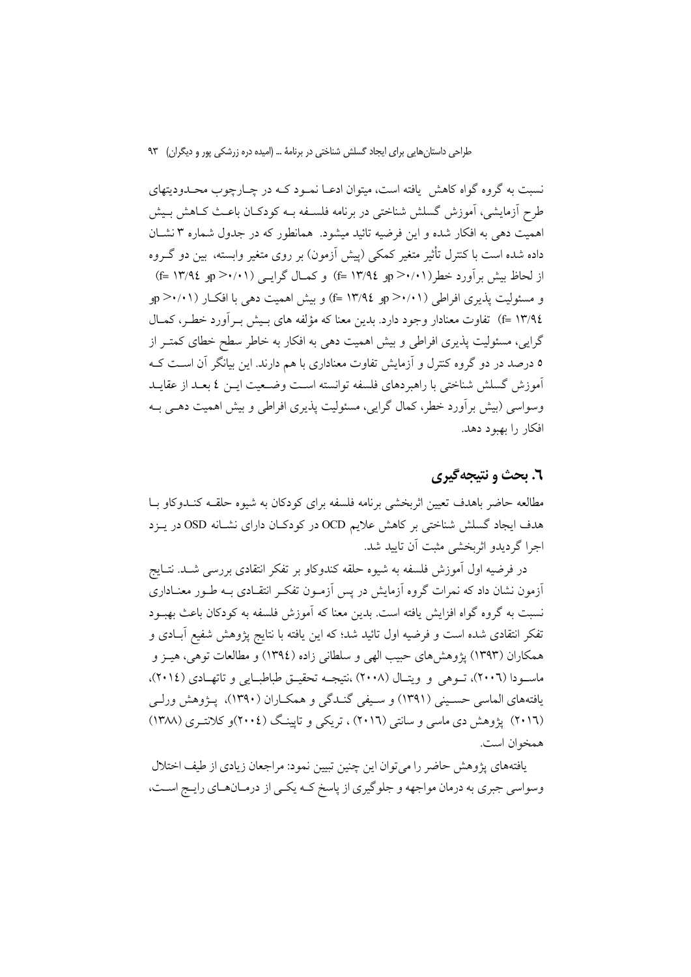نسبت به گروه گواه کاهش یافته است، میتوان ادعـا نمـود کـه در چـارچوب محـدودیتهای طرح اَزمایشی، اَموزش گسلش شناختی در برنامه فلســفه بــه کودکــان باعــث کــاهش بــیش اهمیت دهی به افکار شده و این فرضیه تائید میشود. همانطور که در جدول شماره ۳ نشـان داده شده است با کنترل تأثیر متغیر کمکی (پیش اَزمون) بر روی متغیر وابسته، بین دو گـروه از لحاظ بیش بر آورد خطر(۰۱/۰۱=p = ۱۳/۹ =f) و کمـال گرایــی (۰۱/۰۱=p و ۱۳/۹٤ =f) و مسئولیت پذیری افراطی (۰/۰۱×ج p>۰/۰۱) و پیش اهمیت دهی با افکـار (۰/۰۱×ج و £۱۳/۹ =f) تفاوت معنادار وجود دارد. بدین معنا که مؤلفه های بـیش بـرآورد خطـر، کمـال گرایی، مسئولیت پذیری افراطی و بیش اهمیت دهی به افکار به خاطر سطح خطای کمتــر از ۵ درصد در دو گروه کنترل و آزمایش تفاوت معناداری با هم دارند. این بیانگر آن اسـت کـه آموزش گسلش شناختی با راهبردهای فلسفه توانسته است وضعیت ایـن ٤ بعـد از عقایـد وسواسی (بیش برأورد خطر، کمال گرایی، مسئولیت پذیری افراطی و بیش اهمیت دهـی بــه افكار را بهبود دهد.

#### **٦. بحث و نتيجهگيري**

مطالعه حاضر باهدف تعبين اثريخشي برنامه فلسفه براي كودكان به شبوه حلقبه كنيدوكاو بيا هدف ایجاد گسلش شناختی بر کاهش علایم OCD در کودکان دارای نشـانه OSD در پـزد اجرا گردیدو اثریخشی مثبت آن تایید شد.

در فرضيه اول آموزش فلسفه به شيوه حلقه كندوكاو بر تفكر انتقادي بررسي شــد. نتــايج آزمون نشان داد که نمرات گروه آزمایش در پس آزمـون تفکـر انتقـادی بـه طـور معنــاداری نسبت به گروه گواه افزایش یافته است. بدین معنا که آموزش فلسفه به کودکان باعث بهبـود تفکر انتقادی شده است و فرضیه اول تائید شد؛ که این یافته با نتایج پژوهش شفیع آبــادی و همکاران (۱۳۹۳) پژوهش های حبیب الهی و سلطانی زاده (۱۳۹٤) و مطالعات توهی، هیـز و ماسودا (٢٠٠٦)، تسوهي و ويتسال (٢٠٠٨) ،نتيجــه تحقيــق طباطبــايي و تاتهــادي (٢٠١٤)، يافتههاي الماسي حسـيني (١٣٩١) و سـيفي گنـدگي و همكـاران (١٣٩٠)، پــژوهش ورلـي (۲۰۱٦) پژوهش دی ماسی و سانتی (۲۰۱٦) ، تریکی و تاپینگ (۲۰۰٤)و کلانتـری (۱۳۸۸) همخوان است.

یافتههای پژوهش حاضر را می توان این چنین تبیین نمود: مراجعان زیادی از طیف اختلال وسواسي جبري به درمان مواجهه و جلوگيري از پاسخ كـه يكـي از درمـانهـاي رايـج اسـت،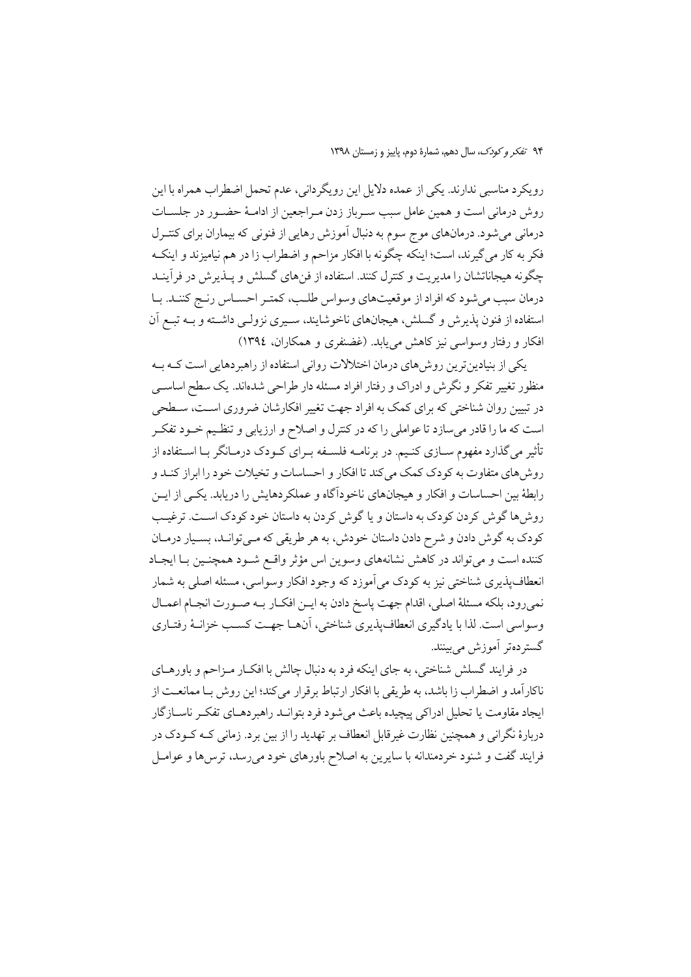رويكرد مناسبي ندارند. يكي از عمده دلايل اين رويگرداني، عدم تحمل اضطراب همراه با اين روش درمانی است و همین عامل سبب سـرباز زدن مـراجعین از ادامـهٔ حضـور در جلسـات درمانی میشود. درمانهای موج سوم به دنبال آموزش رهایی از فنونی که بیماران برای کنتـرل فکر به کار می گیرند، است؛ اینکه چگونه با افکار مزاحم و اضطراب زا در هم نیامیزند و اینکـه چگونه هیجاناتشان را مدیریت و کنترل کنند. استفاده از فنهای گسلش و یـذیرش در فرآینـد درمان سبب می شود که افراد از موقعیتهای وسواس طلب، کمتـر احسـاس رنـج کننـد. بـا استفاده از فنون پذیرش و گسلش، هیجانهای ناخوشایند، سیری نزولـی داشـته و بـه تبـع آن افکار و رفتار وسواسی نیز کاهش می یابد. (غضنفری و همکاران، ۱۳۹٤)

یکی از بنیادین ترین روش های درمان اختلالات روانی استفاده از راهبر دهایی است کــه بــه منظور تغییر تفکر و نگرش و ادراک و رفتار افراد مسئله دار طراحی شدهاند. یک سطح اساسبی در تبیین روان شناختی که برای کمک به افراد جهت تغییر افکارشان ضروری اسـت، سـطحی است که ما را قادر می سازد تا عواملی را که در کنترل و اصلاح و ارزیابی و تنظیم خـود تفکـر تأثیر می گذارد مفهوم ســازی کنـیم. در برنامــه فلســفه بــرای کــودک درمــانگر بــا اســتفاده از روش های متفاوت به کودک کمک می کند تا افکار و احساسات و تخیلات خود را ابراز کنـد و رابطهٔ بین احساسات و افکار و هیجانهای ناخوداًگاه و عملکردهایش را دریابد. یکسی از ایـن روش ها گوش کردن کودک به داستان و یا گوش کردن به داستان خود کودک اسـت. ترغیـب کودک به گوش دادن و شرح دادن داستان خودش، به هر طریقی که مـیتوانـد، بسـیار درمـان کننده است و می تواند در کاهش نشانههای وسوین اس مؤثر واقع شـود همچنـین بـا ایجـاد انعطاف پذیری شناختی نیز به کودک می آموزد که وجود افکار وسواسی، مسئله اصلی به شمار نمي رود، بلكه مسئلهٔ اصلي، اقدام جهت پاسخ دادن به ايــن افكــار بــه صــورت انجــام اعمــال وسواسی است. لذا با یادگیری انعطافپذیری شناختی، آنهـا جهـت کسـب خزانـهٔ رفتـاری گستر دہتر آموزش مے پینند.

در فرایند گسلش شناختی، به جای اینکه فرد به دنبال چالش با افکـار مـزاحم و باورهـای ناكارآمد و اضطراب زا باشد، به طريقي با افكار ارتباط بر قرار مي كند؛ اين روش بــا ممانعــت از ايجاد مقاومت يا تحليل ادراكي پيچيده باعث مي شود فرد بتوانــد راهبردهــاي تفكــر ناســازگار دربارهٔ نگرانی و همچنین نظارت غیرقابل انعطاف بر تهدید را از بین برد. زمانی کـه کـودک در فرایند گفت و شنود خردمندانه با سایرین به اصلاح باورهای خود میرسد، ترس۵ا و عوامـل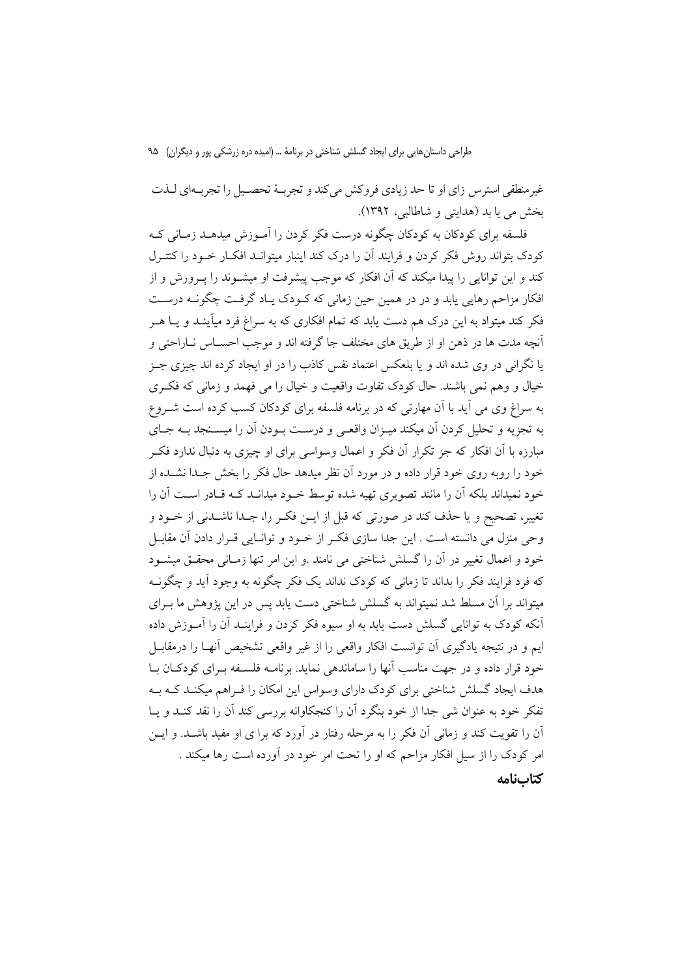غیرمنطقی استرس زای او تا حد زیادی فروکش میکند و تجربهٔ تحصیل را تجربهای لـذت بخش می با بد (هدایتی و شاطالبی، ۱۳۹۲).

فلسفه برای کودکان به کودکان چگونه درست فکر کردن را آمـوزش میدهــد زمـانی کــه کودک بتواند روش فکر کردن و فرایند آن را درک کند اینبار میتوانید افکیار خیود را کنتیرل کند و این توانایی را پیدا میکند که آن افکار که موجب پیشرفت او میشــوند را پــرورش و از افکار مزاحم رهایی پابد و در در همین حین زمانی که کـودک پـاد گرفـت چگونــه درسـت فکر کند میتواد به این درک هم دست یابد که تمام افکاری که به سراغ فرد میآینـد و یــا هــر أنچه مدت ها در ذهن او از طريق هاي مختلف جا گرفته اند و موجب احسـاس نــاراحتي و یا نگرانی در وی شده اند و یا بلعکس اعتماد نفس کاذب را در او ایجاد کرده اند چیزی جـز خيال و وهم نمي باشند. حال كودك تفاوت واقعيت و خيال را مي فهمد و زماني كه فكرى به سراغ وی می آید با آن مهارتی که در برنامه فلسفه برای کودکان کسب کرده است شــروع به تجزیه و تحلیل کردن آن میکند میـزان واقعـی و درسـت بـودن آن را میســنجد بــه جــای مبارزه با آن افکار که جز تکرار آن فکر و اعمال وسواسی برای او چیزی به دنبال ندارد فکـر خود را روبه روی خود قرار داده و در مورد آن نظر میدهد حال فکر را بخش جـدا نشـده از خود نمیداند بلکه آن را مانند تصویری تهیه شده توسط خـود میدانــد کــه قــادر اســت آن را تغییر، تصحیح و یا حذف کند در صورتی که قبل از ایــن فکــر را، جــدا ناشــدنی از خــود و وحی منزل می دانسته است . این جدا سازی فک راز خـود و توانـایی قـرار دادن آن مقابـل خود و اعمال تغییر در آن را گسلش شناختی می نامند .و این امر تنها زمـانی محقـق میشـود که فرد فرایند فکر را پداند تا زمانی که کودک نداند یک فکر چگونه به وجود آید و چگونـه میتواند برا آن مسلط شد نمیتواند به گسلش شناختی دست یابد پس در این پژوهش ما بـرای أنكه كودك به توانايي گسلش دست يابد به او سيوه فكر كردن و فراينـد أن را أمــوزش داده ایم و در نتیجه یادگیری آن توانست افکار واقعی را از غیر واقعی تشخیص آنهـا را درمقابــل خود قرار داده و در جهت مناسب آنها را ساماندهی نماید. برنامـه فلسـفه بـرای کودکـان بـا هدف ایجاد گسلش شناختی برای کودک دارای وسواس این امکان را فـراهم میکنـد کـه بـه تفکر خود به عنوان شي جدا از خود بنگرد آن را کنجکاوانه بررسي کند آن را نقد کنـد و پـا آن را تقویت کند و زمانی آن فکر را به مرحله رفتار در آورد که برا ی او مفید باشـد. و ایــن امر کودک را از سیل افکار مزاحم که او را تحت امر خود در آورده است رها میکند . كتابنامه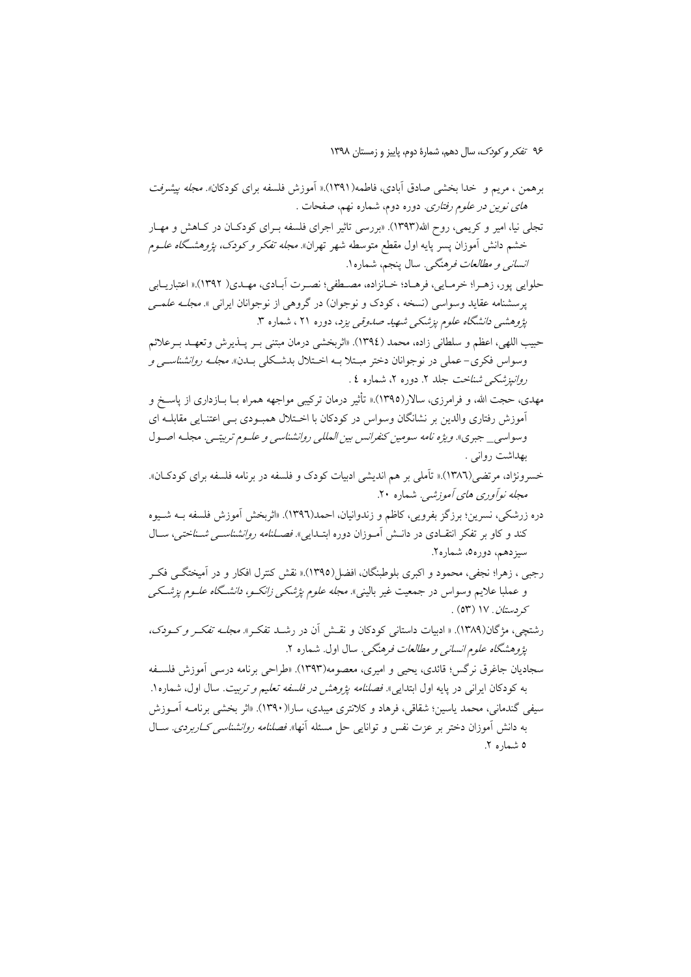- برهمن ، مريم و خدا بخشي صادق آبادي، فاطمه(١٣٩١).« آموزش فلسفه براي كودكان*». مجله بيشرفت های نوین در علوم رفتاری*. دوره دوم، شماره نهم، صفحات .
- تجلَّى نيا، امير و كريمي، روح الله(١٣٩٣). «بررسي تاثير اجراي فلسفه بـراي كودكـان در كــاهش و مهـار خشم دانش أموزان پسر پایه اول مقطع متوسطه شهر تهران». *مجله تفکر و کودک، پژوهشگاه علـوم انسانی و مطالعات فرهنگی.* سال پنجم، شماره ۱.
- حلوایی پور، زهـرا؛ خرمـایی، فرهـاد؛ خـانزاده، مصـطفی؛ نصـرت آبـادی، مهـدی( ١٣٩٢).« اعتباریــابی پرسشنامه عقاید وسواسی (نسخه ، کودک و نوجوان) در گروهی از نوجوانان ایرانی ». *مجلـه علمــی* پژوهشمی دانشگاه علوم پزشکی شهید صدوقی یزد، دوره ۲۱ ، شماره ۳.
- حبيب اللهي، اعظم و سلطاني زاده، محمد (١٣٩٤). «اثربخشي درمان مبتني بـر پــذيرش وتعهــد بــرعلائم وسواس فكرى-عملي در نوجوانان دختر مبـتلا بــه اخـتلال بدشـكلي بــدن». *مجلــه روانشناســي و* روانیزشکی شناخت جلد ۲. دوره ۲، شماره ٤ .
- مهدی، حجت الله، و فرامرزی، سالار(١٣٩٥).« تأثیر درمان ترکیبی مواجهه همراه بــا بــازداری از پاســخ و آموزش رفتاری والدین بر نشانگان وسواس در کودکان با اخـتلال همبـودی بـی اعتنـایی مقابلـه ای وسواسي\_ جبري». *ويژه نامه سومين كنفرانس بين المللي روانشناسي و علسوم تربيتسي*. مجلـه اصـول بهداشت روانبي .
- خسرونژاد، مرتضی(١٣٨٦).« تأملي بر هم انديشي ادبيات كودك و فلسفه در برنامه فلسفه براي كودكان». مجله نوآوري هاي آموزشي. شماره ۲۰.
- دره زرشکی، نسرین؛ برزگز بفرویی، کاظم و زندوانیان، احمد(۱۳۹٦). «اثربخش اَموزش فلسفه بــه شــیوه کند و کاو بر تفکر انتقــادی در دانــش آمــوزان دوره ابتــدایی». *فصــلنامه روانشناســی شــناختی*، ســال سيزدهم، دوره0، شماره٢.
- رجبي ، زهرا؛ نجفي، محمود و اكبرى بلوطبنگان، افضل(١٣٩٥).« نقش كنترل افكار و در أميختگــي فكــر و عملبا علایم وسواس در جمعیت غیر بالینی». *مجله علوم پژشکی زانکـو، دانشـگاه علـوم پزشـکی* کر *دستان . ۱*۷ (۵۳) .
- رشتچی، مژگان(۱۳۸۹). « ادبیات داستانی کودکان و نقـش آن در رشـد تفکـر ». *مجلـه تفکـر و کـودک،* پژ*وهشگاه علوم انسانی و مطالعات فرهنگی*. سال اول. شماره ۲.
- سجاديان جاغرق نرگس؛ قائدي، يحيي و اميري، معصومه(١٣٩٣). «طراحي برنامه درسي آموزش فلسـفه به کودکان ایرانی در پایه اول ابتدایی» *فصلنامه پژوهش در فلسفه تعلیم و تربیت*. سال اول، شماره ۱. سیفی گندمانی، محمد پاسین؛ شقاقی، فرهاد و کلانتری میبدی، سارا(۱۳۹۰). «اثر بخشی برنامــه آمــوزش به دانش آموزان دختر بر عزت نفس و توانایی حل مسئله آنها» *فصلنامه روانشناسی کـاربردی*. ســال ٥ شماره ٢.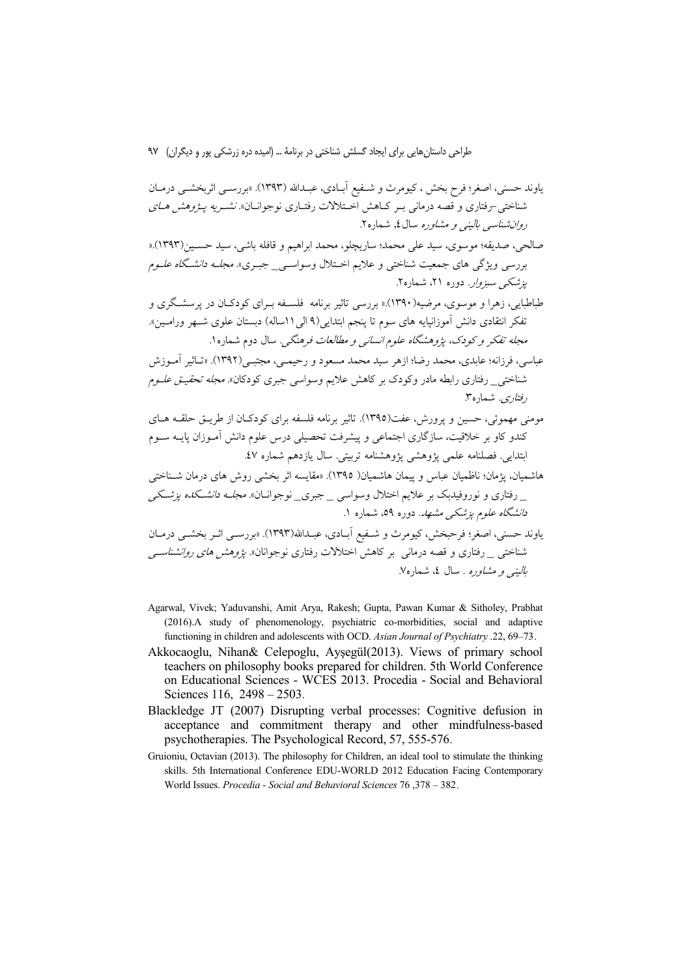ياوند حسني، اصغر؛ فرح بخش ، كيومرث و شــفيع آبــادي، عبــدالله (١٣٩٣). «بررســي اثربخشــي درمــان شناختی-رفتاری و قصه درمانی بـر کـاهش اخـتلالات رفتـاری نوجوانـان» *نشـریه پـژوهش هـای* ر*وان شناسی بالینی و مشاو*ره سال **٤,** شماره ٢.

- صالحي، صديقه؛ موسوى، سيد على محمد؛ ساريچلو، محمد ابراهيم و قافله باشي، سيد حسـين(١٣٩٣).« بررسی ویژگی های جمعیت شناختی و علایم اختلال وسواس<u>ی -</u> جبـری». *مجلـه دانشگاه علـوم یزشکے سبزوار*. دورہ ۲۱، شمارہ۲.
- طباطبایی، زهرا و موسوی، مرضیه(۱۳۹۰).« بررسی تاثیر برنامه ًفلسـفه بـرای کودکـان در یرسشـگری و تفكر انتقادي دانش آموزانيايه هاي سوم تا ينجم ابتدايي(٩ الي١١ساله) دبستان علوي شـهر ورامـين». مج*له تفکر و کودک، پژوهشگاه علوم انسان<sub>ی</sub> و مطالعات فرهنگی.* سال دوم شماره ۱.
- عباسي، فرزانه؛ عابدي، محمد رضا؛ ازهر سيد محمد مسعود و رحيمـي، مجتبـي(١٣٩٢). «تــاثير آمــوزش شناخت<sub>ی—</sub> رفتاری رابطه مادر وکودک بر کاهش علایم وسواسی جبری کودکان». *مجله تحقیـتی علــوم* ر*فتاری.* شماره ۳.
- مومنی مهموئی، حسین و پرورش، عفت(۱۳۹٥). تاثیر برنامه فلسفه برای کودکـان از طریــق حلقــه هــای کندو کاو بر خلاقیت، سازگاری اجتماعی و پیشرفت تحصیلی درس علوم دانش آمـوزان پایــه ســوم ابتدایی فصلنامه علمی پژوهشی پژوهشنامه تربیتی. سال یازدهم شماره ٤٧.

هاشميان، يژمان؛ ناظميان عباس و پيمان هاشميان( ١٣٩٥). «مقايسه اثر بخشي روش هاي درمان شــناختي \_ رفتاری و نوروفیدبک بر علایم اختلال وسواسی \_ جبری\_ نوجوانــان». *مجلــه دانشــکده پزشــکی* د*انشگاه علوم پزشکی مشهد*. دوره ۵۹، شماره ۱.

یاوند حسنی، اصغر؛ فرحبخش، کیومرث و شـفیع آبـادی، عبـدالله(۱۳۹۳). «بررســی اثــر بخشــی درمــان شناخت<sub>ی د</sub>فتاری و قصه درمانی بر کاهش اختلالات رفتاری نوجوانان». *یژوهش های روانشناسی* ب*الینے و مشاورہ* . سال ٤، شماره٧.

- Agarwal, Vivek; Yaduvanshi, Amit Arya, Rakesh; Gupta, Pawan Kumar & Sitholey, Prabhat (2016).A study of phenomenology, psychiatric co-morbidities, social and adaptive functioning in children and adolescents with OCD. Asian Journal of Psychiatry .22, 69–73.
- Akkocaoglu, Nihan& Celepoglu, Aysegül(2013). Views of primary school teachers on philosophy books prepared for children. 5th World Conference on Educational Sciences - WCES 2013. Procedia - Social and Behavioral Sciences 116, 2498 - 2503.
- Blackledge JT (2007) Disrupting verbal processes: Cognitive defusion in acceptance and commitment therapy and other mindfulness-based psychotherapies. The Psychological Record, 57, 555-576.
- Gruioniu, Octavian (2013). The philosophy for Children, an ideal tool to stimulate the thinking skills. 5th International Conference EDU-WORLD 2012 Education Facing Contemporary World Issues. Procedia - Social and Behavioral Sciences 76, 378 - 382.